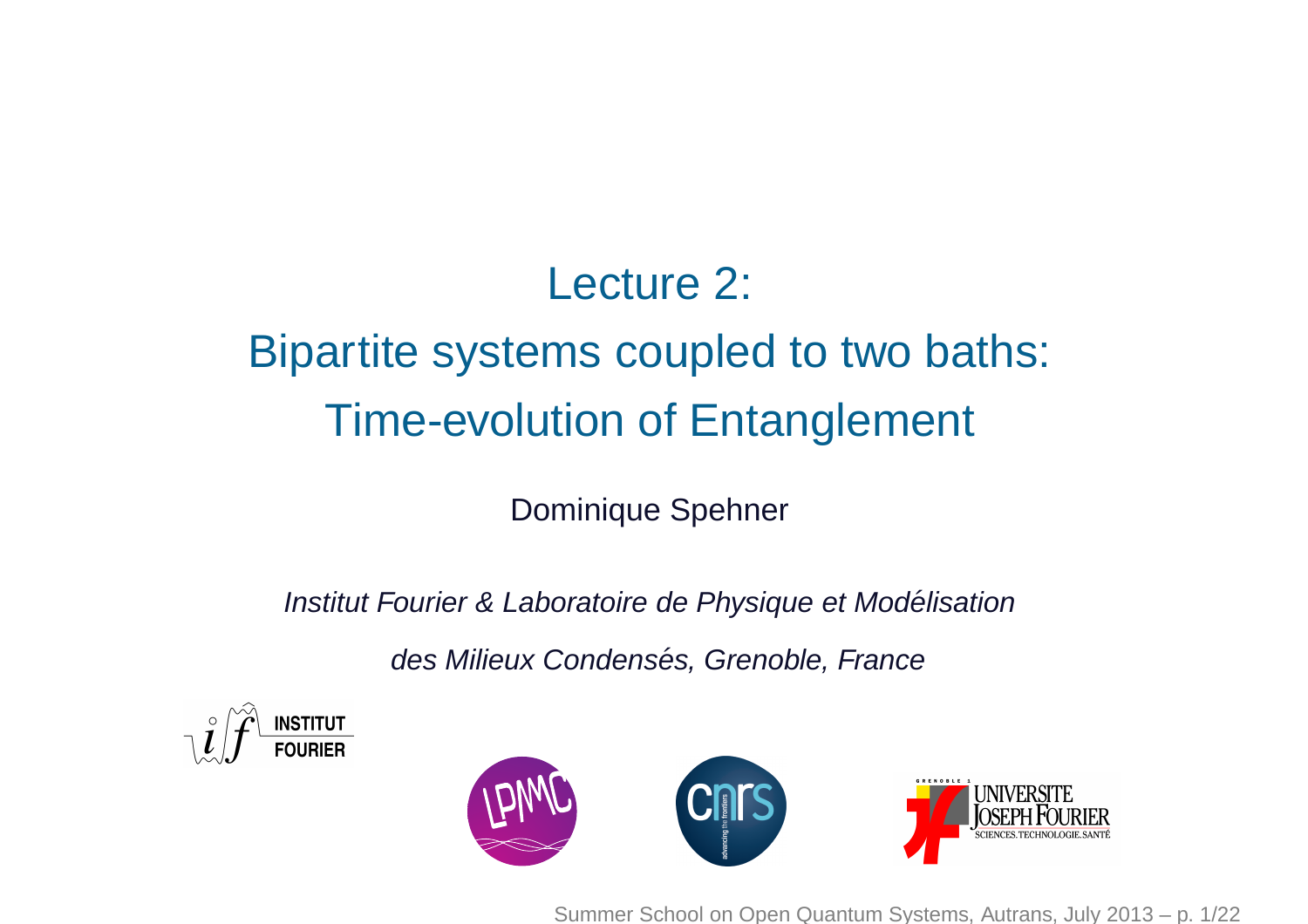## Lecture 2:

# Bipartite systems coupled to two baths: Time-evolution of Entanglement

Dominique Spehner

Institut Fourier & Laboratoire de Physique et Modélisation

des Milieux Condensés, Grenoble, France





Summer School on Open Quantum Systems, Autrans, July 2013 – p. 1/22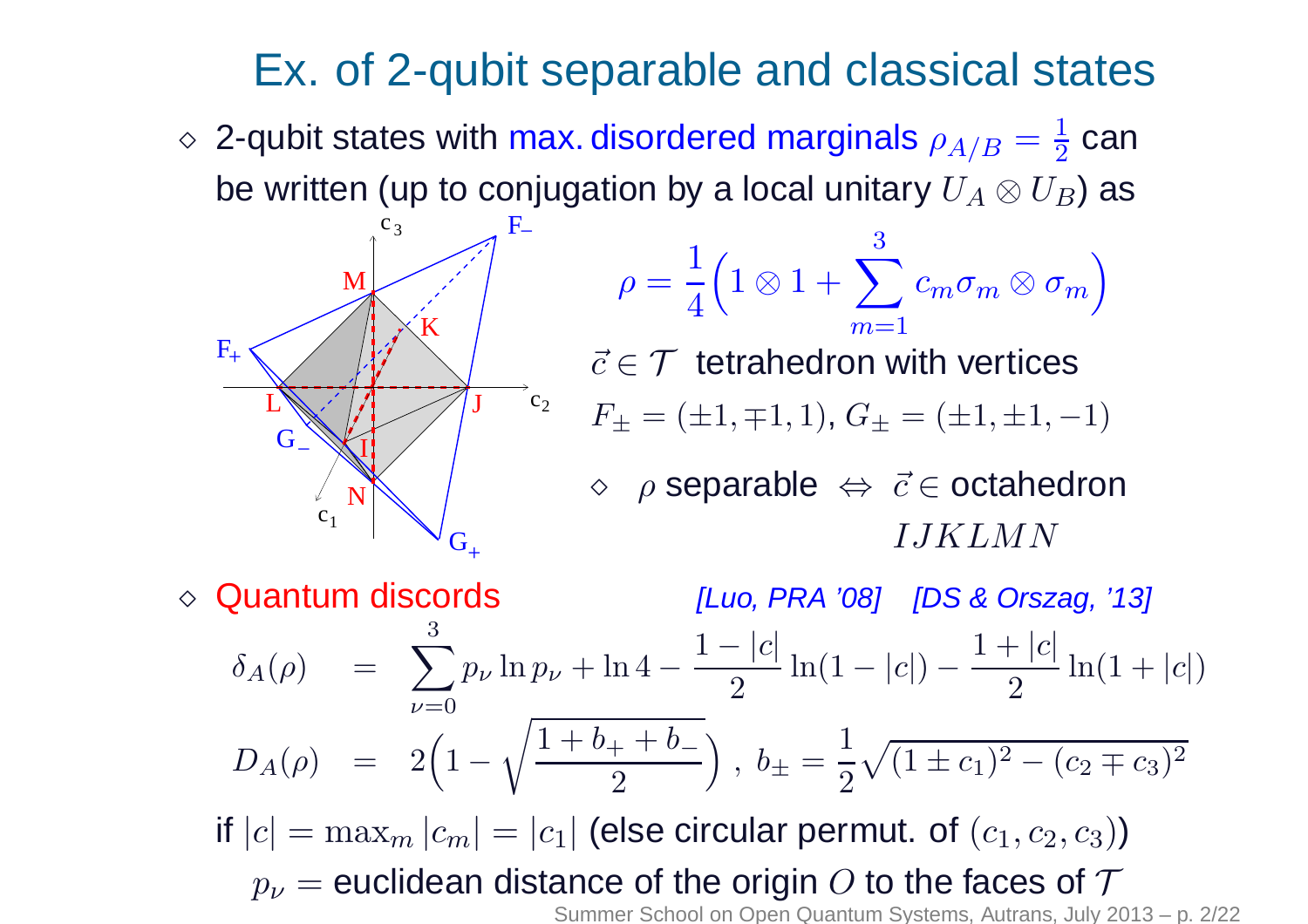## Ex. of 2-qubit separable and classical states

 $\diamond$  2-qubit states with max. disordered marginals  $\rho_{A/B}=\frac{1}{2}$ be written (up to conjugation by a local unitary  $U_A\otimes U_B$ ) as 2 $\frac{1}{2}$  can



$$
\rho = \frac{1}{4} \Big( 1 \otimes 1 + \sum_{m=1}^{3} c_m \sigma_m \otimes \sigma_m \Big)
$$
  

$$
\vec{c} \in \mathcal{T} \text{ tetrahedron with vertices}
$$
  

$$
F_{\pm} = (\pm 1, \mp 1, 1), G_{\pm} = (\pm 1, \pm 1, -1)
$$
  

$$
\diamond \rho \text{ separable} \Leftrightarrow \vec{c} \in \text{octahedron}
$$

 $\rho$  $\rho$  separable ⇔ $\Leftrightarrow \vec{c}$ ∈ $\in$  octahedron IJKLMN

⋄Quantum discords [Luo, PRA '08] [DS & Orszag, '13]  $\delta$  $\delta_A(\rho) \quad = \quad \sum^3 p$  $\nu{=}0$ ν $_{\nu}$  ln  $\boldsymbol{p}$ ν $_{\nu}$  + ln 4  $\frac{1-|c|}{\sqrt{c}}$ 2 $\frac{1}{2}$  ln(1 – |c|)  $-\frac{1+|c|}{2}$  $\frac{1}{2}$  ln(1 + |c|)  $D_A(\rho) \quad = \quad 2 \Big($ 1− $\sqrt{\frac{1+b}{}}$  $\frac{0+1}{1}$  $\, + \,$  $\it b$ − $\frac{a_+ + b_-}{2} \Big) \; , \; b_\pm$ if  $\left| c \right| = \max_{m} \left| c_m \right| = \left| c_1 \right|$  (else circular per  $\pm\ \equiv$ 1 2 $\sqrt{(1\pm c}$  $c_1)$ 2 − $\left($  $\,c\,$  $c_2 \mp c$  $c_3)$ 2 $|m|c_m| =$  $=|c_1|$  (else circular permut. of  $(c_1, c_2, c_3)$ )  $p_{\bm{\nu}}=$ = euclidean distance of the origin  $O$  to the faces of  $\mathcal T$ <br>Summer School on Open Quantum Systems. Autrans. July 20

Summer School on Open Quantum Systems, Autrans, July 2013 – p. 2/22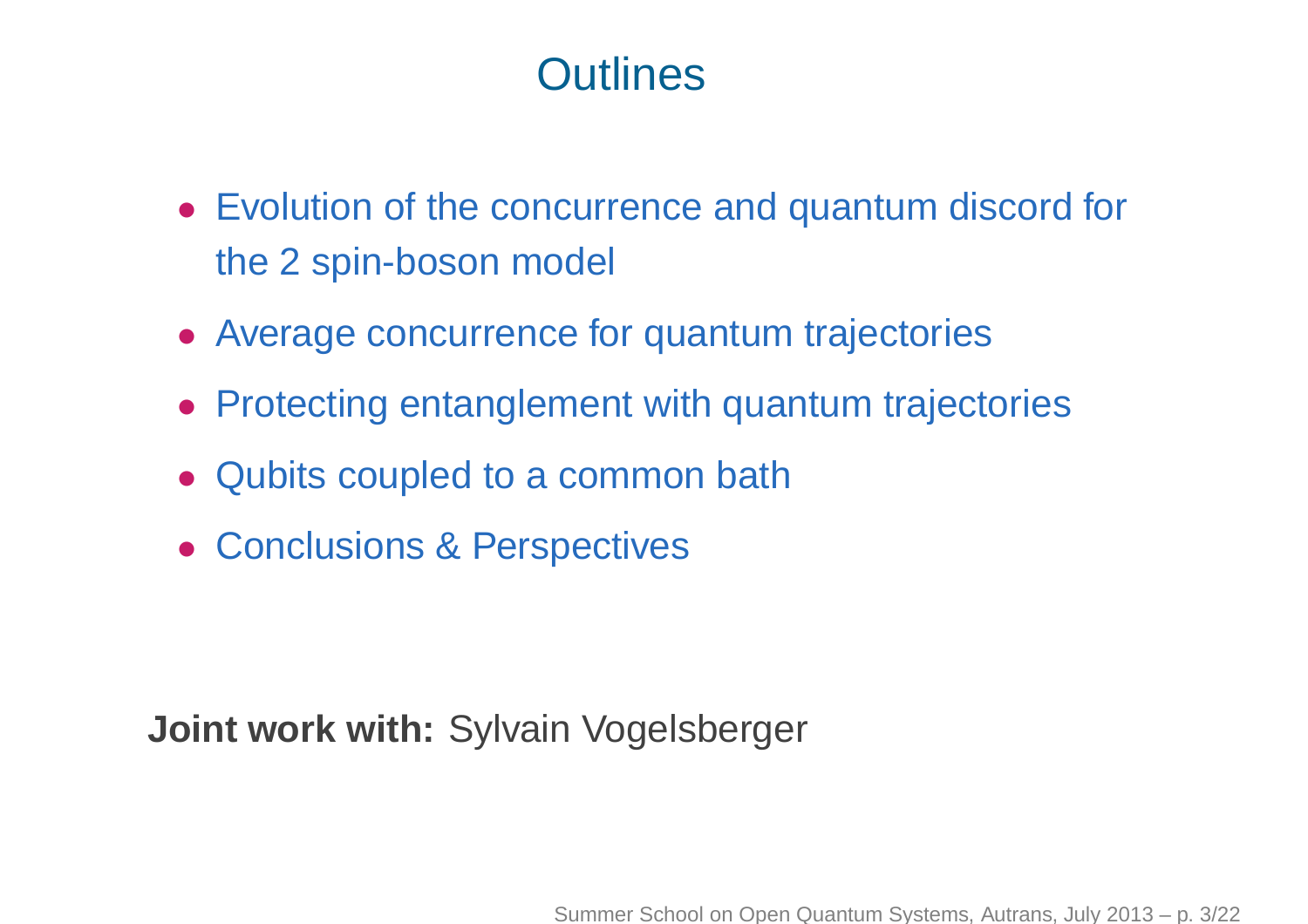## **Outlines**

- Evolution of the concurrence and quantum discord for the 2 spin-boson model
- Average concurrence for quantum trajectories
- Protecting entanglement with quantum trajectories
- Qubits coupled to <sup>a</sup> common bath
- Conclusions & Perspectives

**Joint work with:** Sylvain Vogelsberger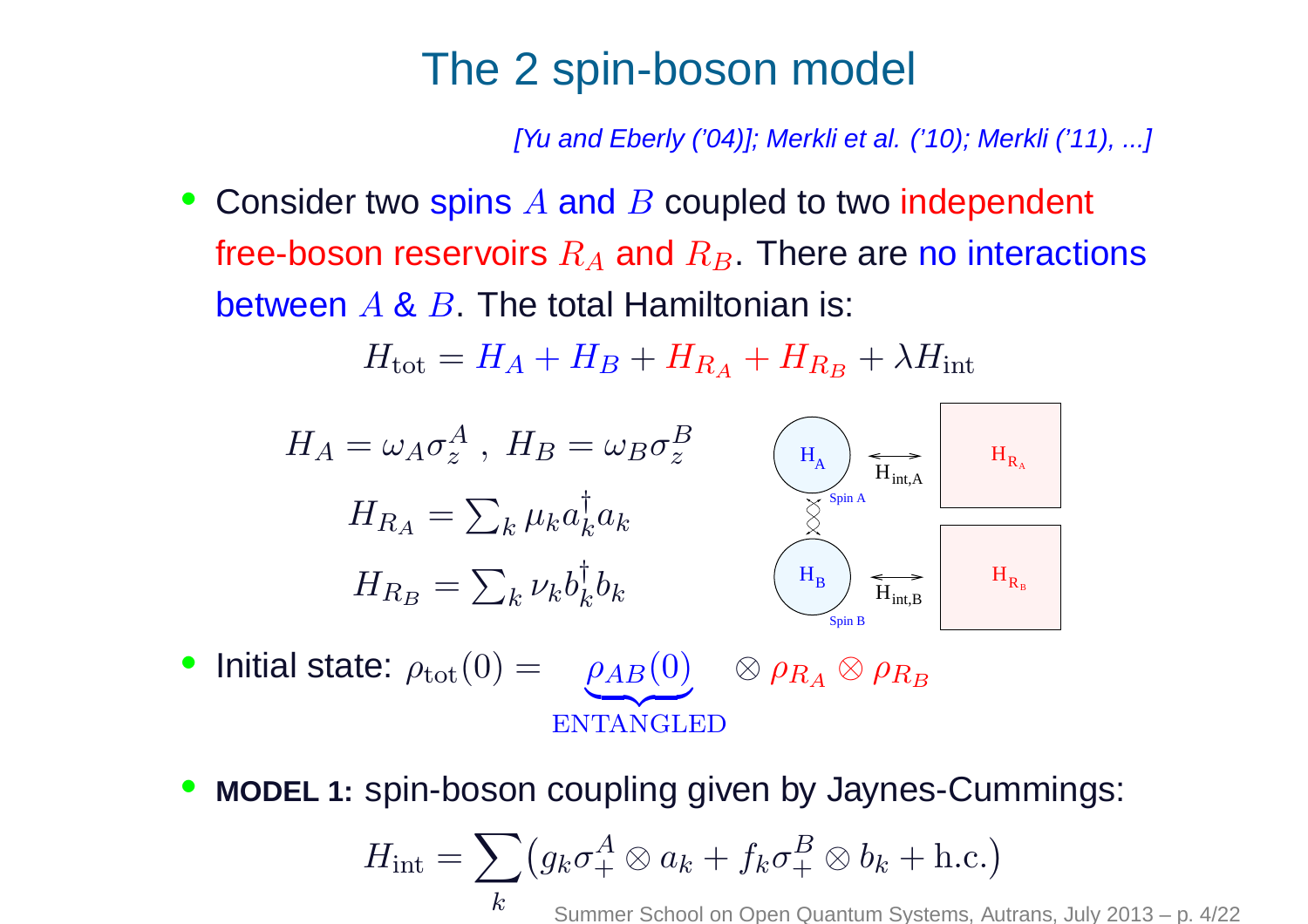#### The 2 spin-boson model

[Yu and Eberly ('04)]; Merkli et al. ('10); Merkli ('11), ... ]

• Consider two spins  $A$  and  $B$  coupled to two independent free-boson reservoirs  $R_A$  and  $R_B.$  There are no interactions between  $A$  &  $B$  . The total Hamiltonian is:

 $H_{\text{tot}}=H_A+H_B+H_{R_A}+H_{R_B}+\lambda H_{\text{int}}$ 



- Initial state:  $\rho_{\text{tot}}(0) = \rho_{AB}(0)$ **z**  ENTANGLED $\otimes \rho$  $_{RA} \otimes \rho$  $R_B\,$
- •**MODEL 1:** spin-boson coupling given by Jaynes-Cummings:

$$
H_{\text{int}} = \sum_{k} \left( g_k \sigma_+^A \otimes a_k + f_k \sigma_+^B \otimes b_k + \text{h.c.} \right)
$$
  
<sub>k</sub> Summer School on Open Quantum Systems. Autrans. July 2013 – p. 4/22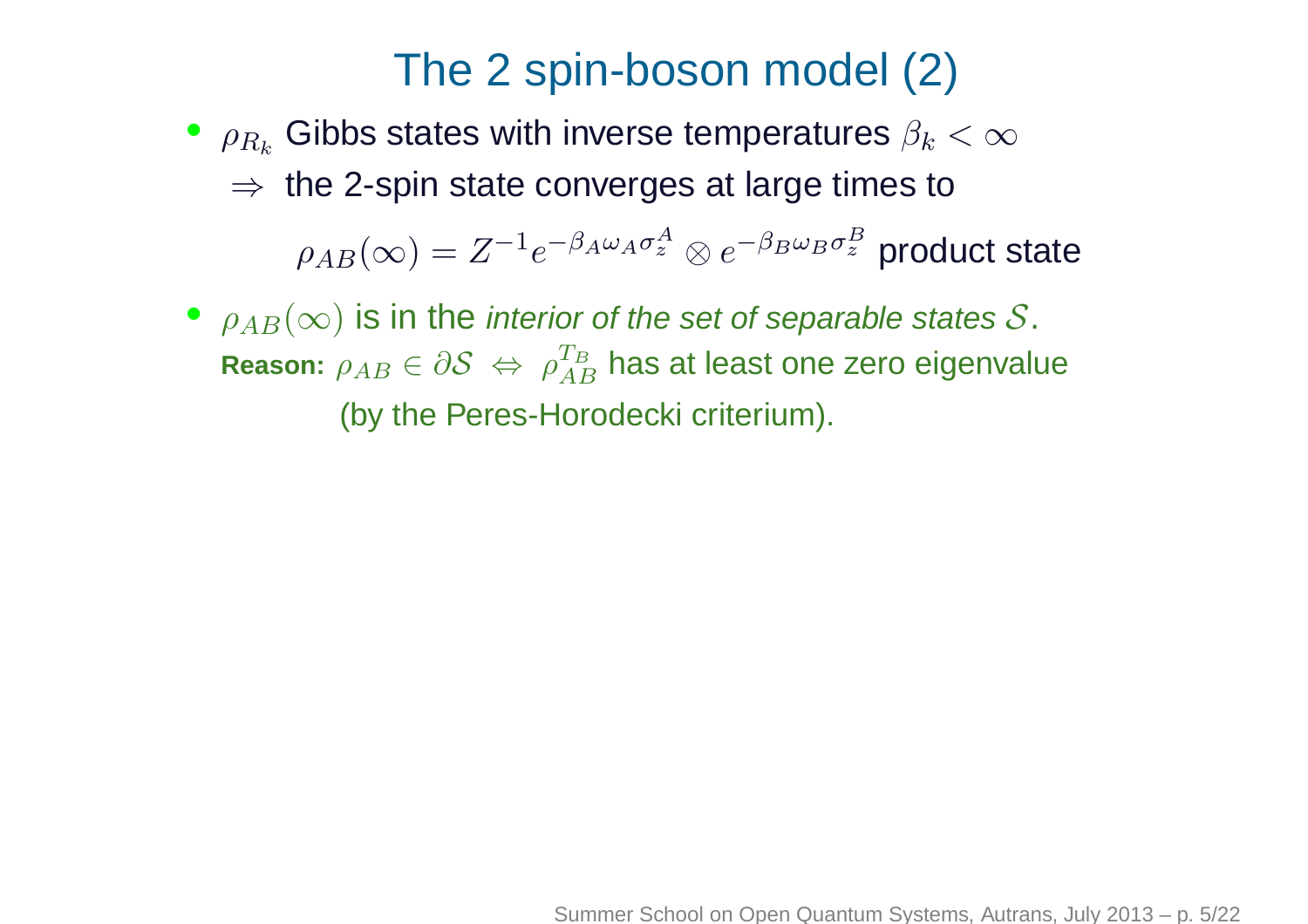## The <sup>2</sup> spin-boson model (2)

- $\textcolor{black}{\bullet}$   $\rho_{R_k}$  $\Rightarrow$  the 2-spin state converges at large times to  $_{k}$  Gibbs states with inverse temperatures  $\beta_{k}<\infty$  $\rho_{AB}(\infty)=Z^{-1}$  $1e^{-\beta}$  ${}_A\omega$  $A$   $\sigma$  $\bm A$  $z^A\otimes e^{-\beta}$  $_B\omega$  $_B\sigma$ B $\tilde{z}$  product state
- $\rho_{AB}(\infty)$  is in the *interior of the set of separable states*  ${\cal S}.$ **Reason:**  $\rho_{AB} ∈ ∂S \Leftrightarrow ρ$  (by the Peres-Horodecki criterium).  $T_B$  $AB$  $^{\scriptscriptstyle B}_{\scriptscriptstyle B}$  has at least one zero eigenvalue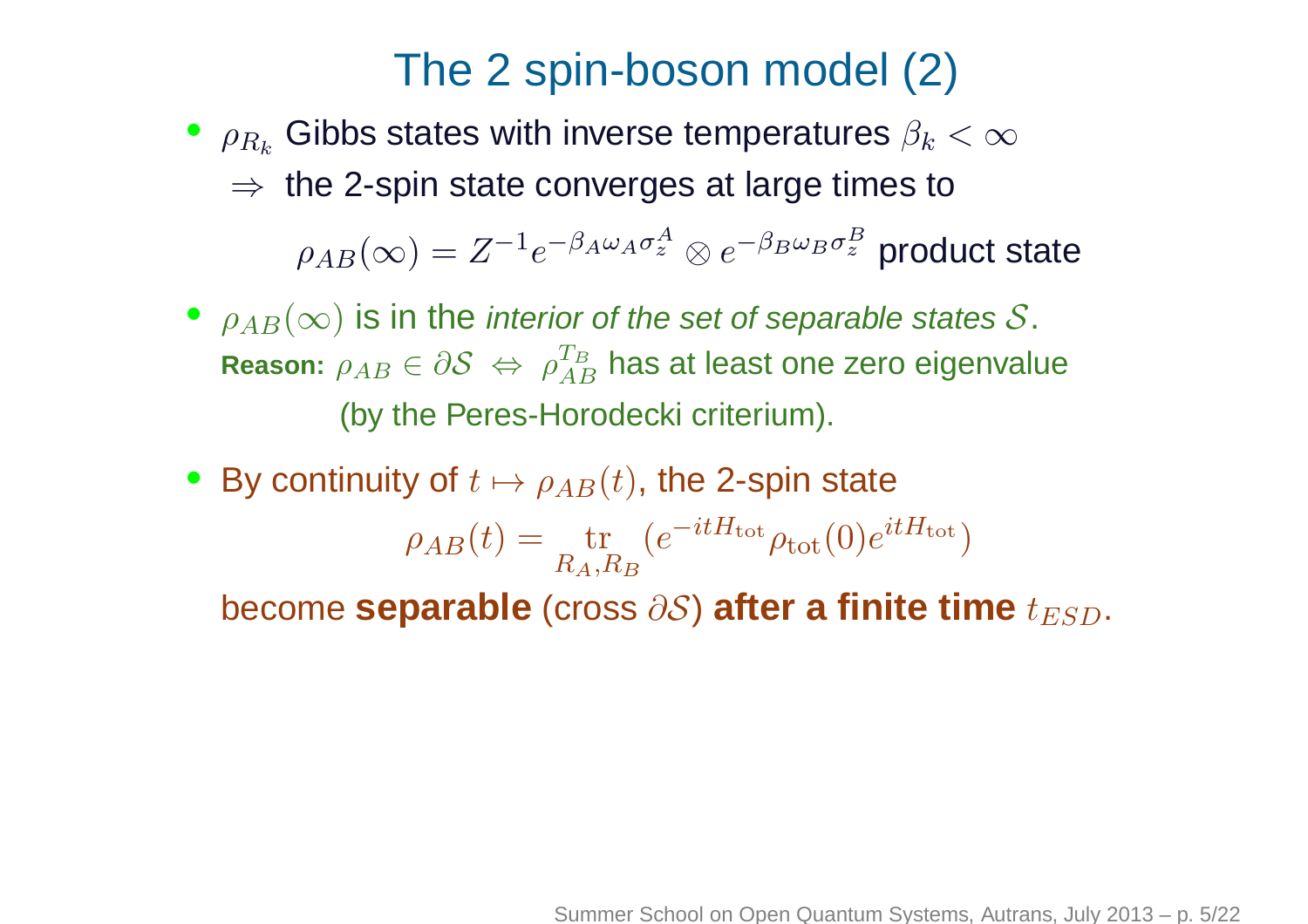## The <sup>2</sup> spin-boson model (2)

- $\textcolor{black}{\bullet}$   $\rho_{R_k}$  $\Rightarrow$  the 2-spin state converges at large times to  $_{k}$  Gibbs states with inverse temperatures  $\beta_{k}<\infty$  $\rho_{AB}(\infty)=Z^{-1}$  $1e^{-\beta}$  ${}_A\omega$  $A$   $\sigma$  $\bm A$  $z^A\otimes e^{-\beta}$  $_B\omega$  $_B\sigma$ B $\tilde{z}$  product state
- $\rho_{AB}(\infty)$  is in the *interior of the set of separable states*  ${\cal S}.$ **Reason:**  $\rho_{AB} ∈ ∂S \Leftrightarrow ρ$  (by the Peres-Horodecki criterium).  $T_B$  $AB$  $^{\scriptscriptstyle B}_{\scriptscriptstyle B}$  has at least one zero eigenvalue
- By continuity of  $t\mapsto \rho_{AB}(t),$  the 2-spin state All the state of the  $\rho_{AB}(t)=\frac{\text{tr}}{R_A,R_B}$  $\bm{b}$ ecome  $\bm{\textbf{s}eparable}$  (cross  $\partial \mathcal{S}$ )  $\bm{\textbf{after a finite time}}$   $t_{ESD}.$  $\left($  $\,e\,$  $-itH_{\text{tot}}{\rho_{\text{tot}}}(0)$  $e^{itH_{\rm tot}})$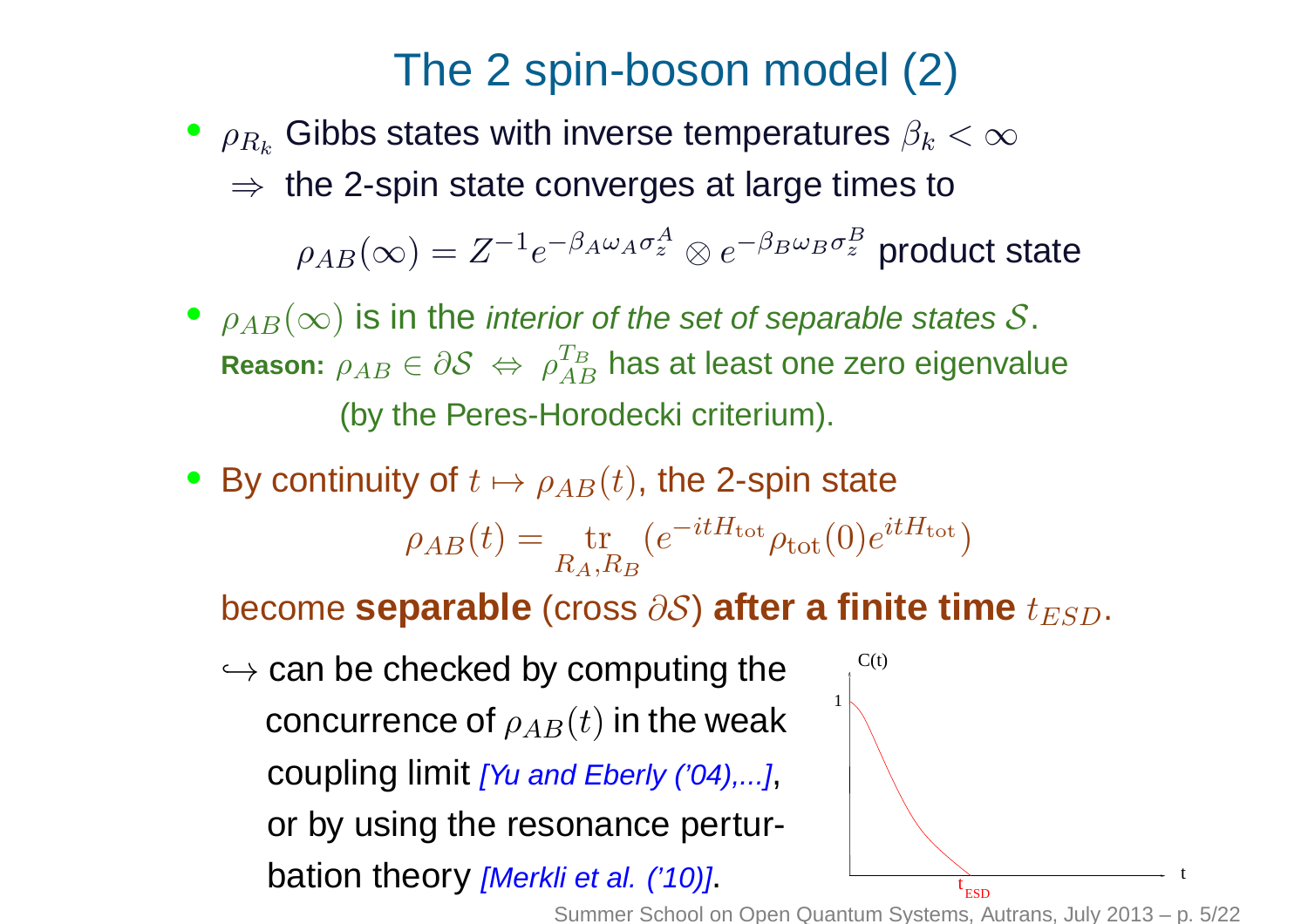## The <sup>2</sup> spin-boson model (2)

- $\textcolor{black}{\bullet}$   $\rho_{R_k}$  $\Rightarrow$  the 2-spin state converges at large times to  $_{k}$  Gibbs states with inverse temperatures  $\beta_{k}<\infty$  $\rho_{AB}(\infty)=Z^{-1}$  $1e^{-\beta}$  ${}_A\omega$  $A$   $\sigma$  $\bm A$  z $\overset{A}{z} \otimes e^{-\beta}$  $_B\omega$  $_B\sigma$ B $\tilde{z}$  product state
- $\rho_{AB}(\infty)$  is in the *interior of the set of separable states*  ${\cal S}.$ **Reason:**  $\rho_{AB} ∈ ∂S \Leftrightarrow ρ$  (by the Peres-Horodecki criterium).  $T_B$  $AB$  $^{\scriptscriptstyle B}_{\scriptscriptstyle B}$  has at least one zero eigenvalue
- By continuity of  $t\mapsto \rho_{AB}(t),$  the 2-spin state All the state of the  $\rho_{AB}(t)=\frac{\text{tr}}{R_A,R_B}$  $\left($  $\,e\,$  $-itH_{\text{tot}}{\rho_{\text{tot}}}(0)$  $e^{itH_{\rm tot}})$

 $\bm{b}$ ecome  $\bm{\textbf{s}eparable}$  (cross  $\partial \mathcal{S}$ )  $\bm{\textbf{after a finite time}}$   $t_{ESD}.$ 

 $\hookrightarrow$  can be checked by computing the concurrence of  $\rho_{AB}(t)$  in the weak coupling limit *[Yu and Eberly ('04),...]*, or by using the resonance perturbation theory *[Merkli et al. ('10)]*.

Summer School on Open Quantum Systems, Autrans, July 2013 – p. 5/22

 $t_{\text{RSD}}$ 

1

 $C(t)$ 

t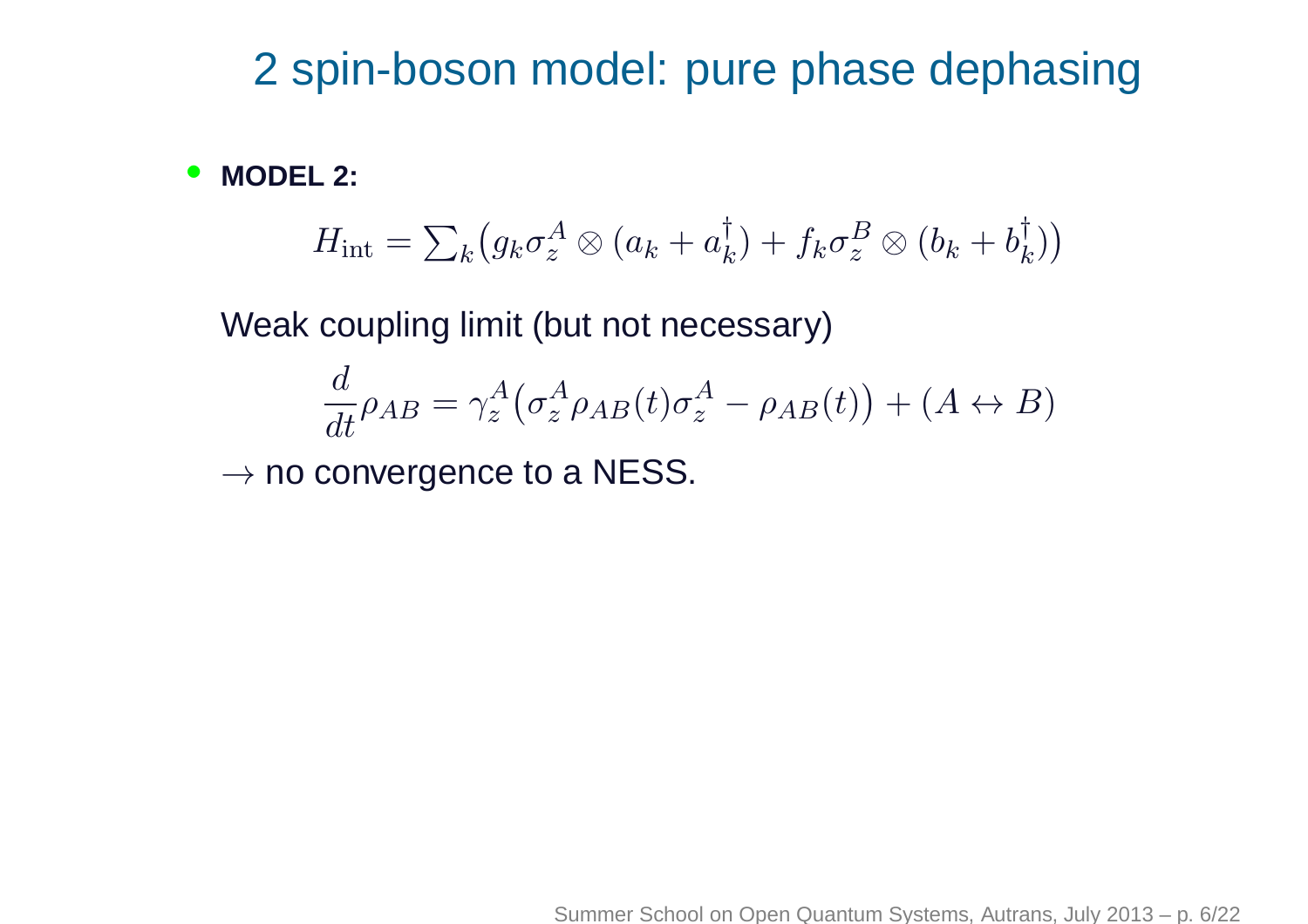## 2 spin-boson model: pure phase dephasing

•**MODEL 2:**

$$
H_{\rm int} = \sum_{k} \left( g_k \sigma_z^A \otimes (a_k + a_k^{\dagger}) + f_k \sigma_z^B \otimes (b_k + b_k^{\dagger}) \right)
$$

Weak coupling limit (but not necessary)

$$
\frac{d}{dt}\rho_{AB} = \gamma_z^A \big(\sigma_z^A \rho_{AB}(t)\sigma_z^A - \rho_{AB}(t)\big) + (A \leftrightarrow B)
$$

 $\rightarrow$  no convergence to a NESS.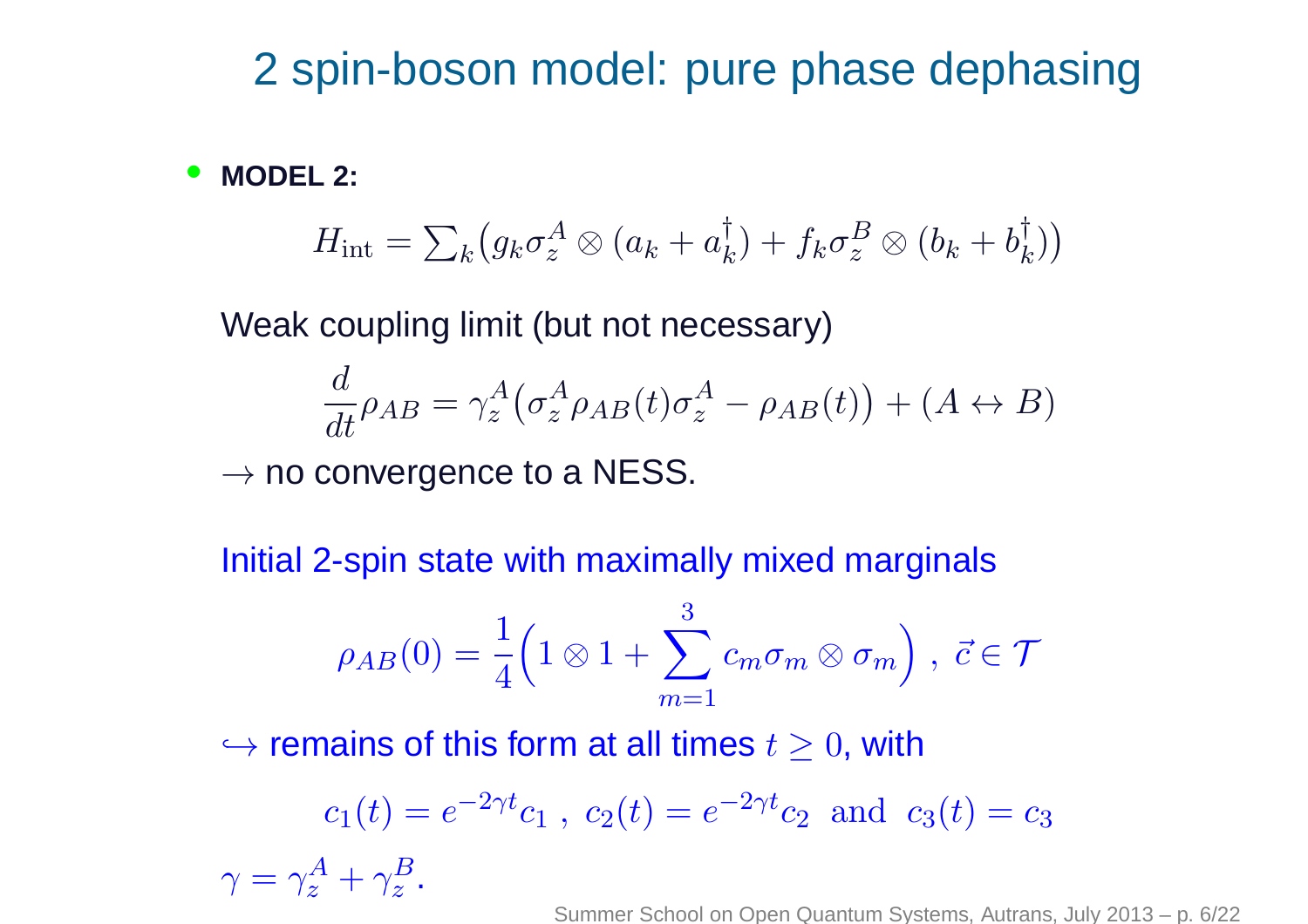### 2 spin-boson model: pure phase dephasing

•**MODEL 2:**

$$
H_{\rm int} = \sum_{k} \left( g_k \sigma_z^A \otimes (a_k + a_k^{\dagger}) + f_k \sigma_z^B \otimes (b_k + b_k^{\dagger}) \right)
$$

Weak coupling limit (but not necessary)

$$
\frac{d}{dt}\rho_{AB} = \gamma_z^A \big(\sigma_z^A \rho_{AB}(t)\sigma_z^A - \rho_{AB}(t)\big) + (A \leftrightarrow B)
$$

 $\rightarrow$  no convergence to a NESS.

Initial 2-spin state with maximally mixed marginals

$$
\rho_{AB}(0) = \frac{1}{4} \Big( 1 \otimes 1 + \sum_{m=1}^{3} c_m \sigma_m \otimes \sigma_m \Big) , \ \vec{c} \in \mathcal{T}
$$

 $\hookrightarrow$  remains of this form at all times  $t\geq0,$  with

$$
c_1(t) = e^{-2\gamma t}c_1
$$
,  $c_2(t) = e^{-2\gamma t}c_2$  and  $c_3(t) = c_3$ 

 $\gamma=\gamma$  $\bm{A}$  $\frac{\Delta}{z}+\gamma$  $\boldsymbol{B}$  $z$  .

Summer School on Open Quantum Systems, Autrans, July 2013 – p. 6/22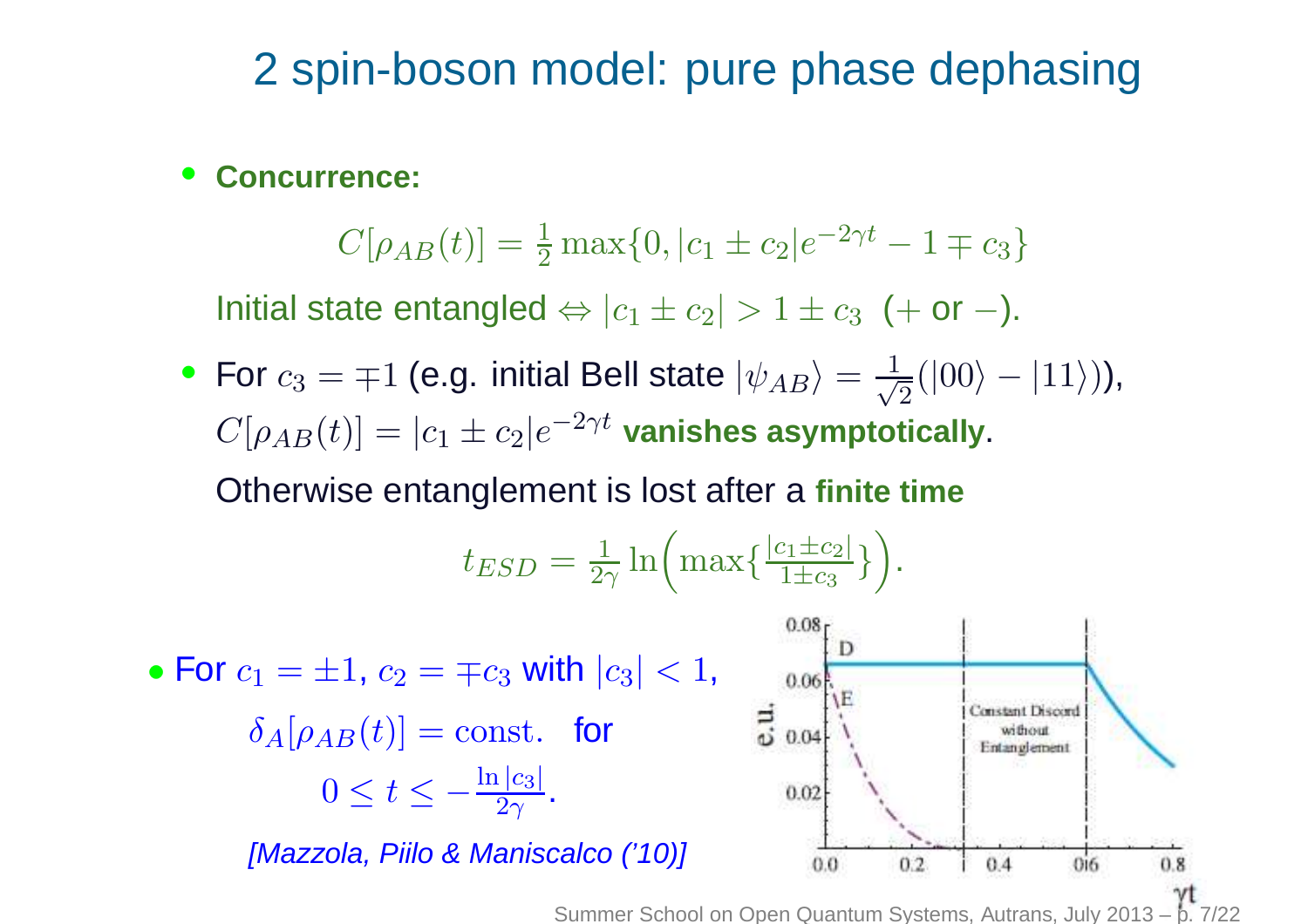## 2 spin-boson model: pure phase dephasing

#### $\bullet$ **Concurrence:**

 $C[\rho_{AB}(t)]=\frac{1}{2}$  $\frac{1}{2} \max\{0, |c_1 \pm c_2|e^{-2\gamma t} - 1 \mp c_3\}$ 

Initial state entangled  $\Leftrightarrow |c_1\pm c_2| > 1 \pm c_3$  (+ or  $-)$ .

• For  $c_3=\mp1$  (e.g. initial Bell state  $|\psi_{AB}\rangle$  $C[\rho_{AB}(t)]=|c_1\pm c_2|e^{-2\gamma t}$  vanishes asymptot = $\frac{1}{\sqrt{2}}(|00\rangle-|11\rangle)),$  $\alpha_1\pm c_2|e^{-2\gamma t}$  vanishes asymptotically.

Otherwise entanglement is lost after <sup>a</sup> **finite time**

$$
t_{ESD} = \frac{1}{2\gamma} \ln \left( \max \{ \frac{|c_1 \pm c_2|}{1 \pm c_3} \} \right).
$$

 $_3$  with  $\left| c_3\right| < 1,$  $\bullet$  For  $c_1=\pm 1, c_2=\mp c_3$ 0.06  $\frac{1}{6}$  0.04 Constant Discord  $\delta_A[\rho_{AB}(t)]=\mathrm{const.}$  for Entanglement  $t\leq -\frac{\ln |c_3|}{2\gamma}.$  $0 \leq t$  $0.02$ [Mazzola, Piilo & Maniscalco ('10)]  $0.6$  $0.0$  $0.2.$  $0.4$  $0.8$ 

Summer School on Open Quantum Systems, Autrans, July 2013 – p.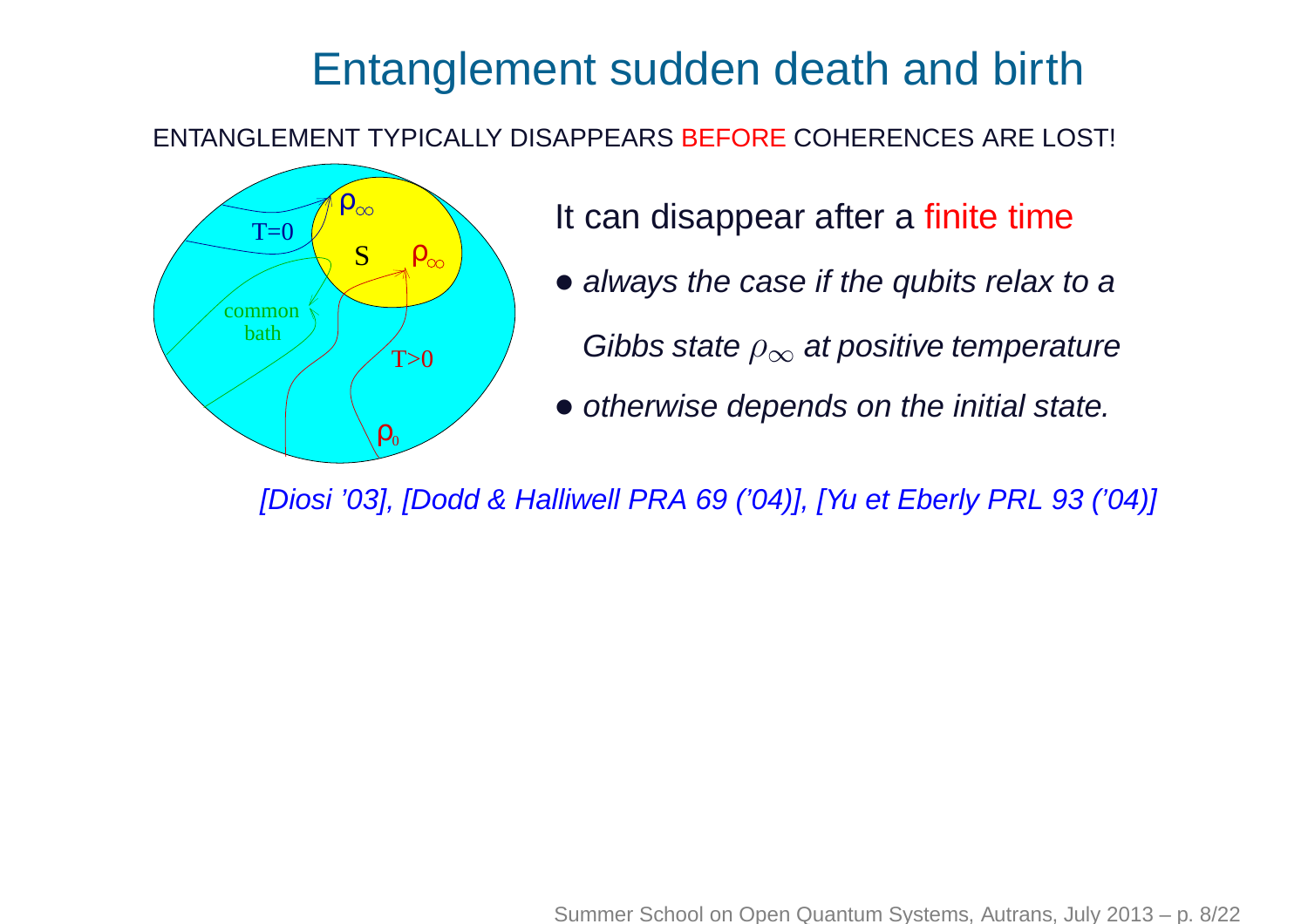## Entanglement sudden death and birth

ENTANGLEMENT TYPICALLY DISAPPEARS BEFORE COHERENCES ARE LOST!



- It can disappear after a <mark>finite time</mark>
- always the case if the qubits relax to a
	- Gibbs state  $\rho_{\infty}$  $_{\infty}$  at positive temperature
- otherwise depends on the initial state.

[Diosi '03], [Dodd & Halliwell PRA 69 ('04)], [Yu et Eberly PRL 93 ('04)]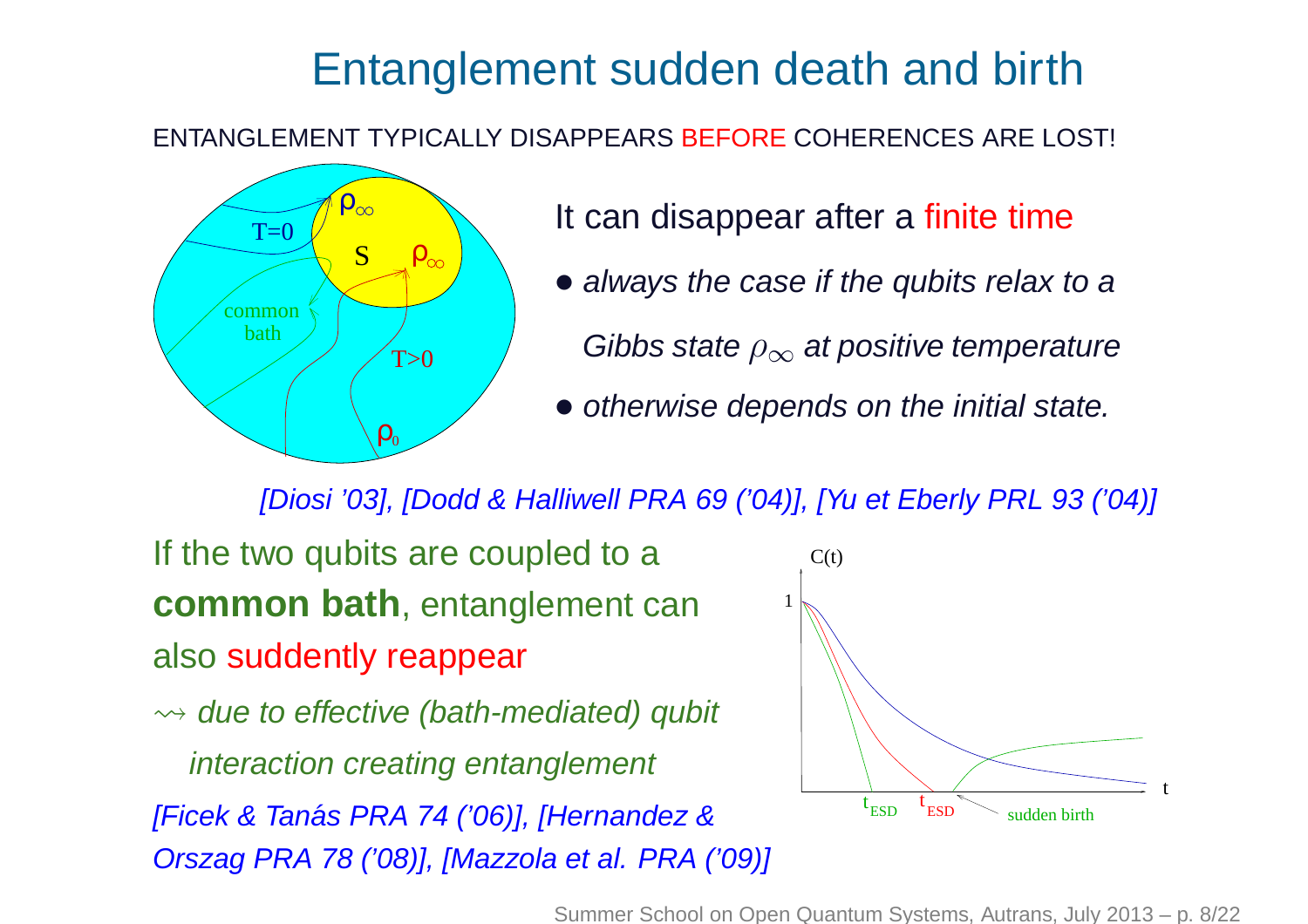## Entanglement sudden death and birth

ENTANGLEMENT TYPICALLY DISAPPEARS BEFORE COHERENCES ARE LOST!



- It can disappear after a <mark>finite time</mark>
- always the case if the qubits relax to a
	- Gibbs state  $\rho_{\infty}$  $_{\infty}$  at positive temperature
- otherwise depends on the initial state.

[Diosi '03], [Dodd & Halliwell PRA 69 ('04)], [Yu et Eberly PRL 93 ('04)]

If the two qubits are coupled to a **common bath**, entanglement can also <mark>suddentl</mark>y reappear

 $\rightsquigarrow$  due to effective (bath-mediated) qubit interaction creating entanglement

[Ficek & Tanás PRA 74 ('06)], [Hernandez & Orszag PRA 78 ('08)], [Mazzola et al. PRA ('09)]



Summer School on Open Quantum Systems, Autrans, July 2013 – p. 8/22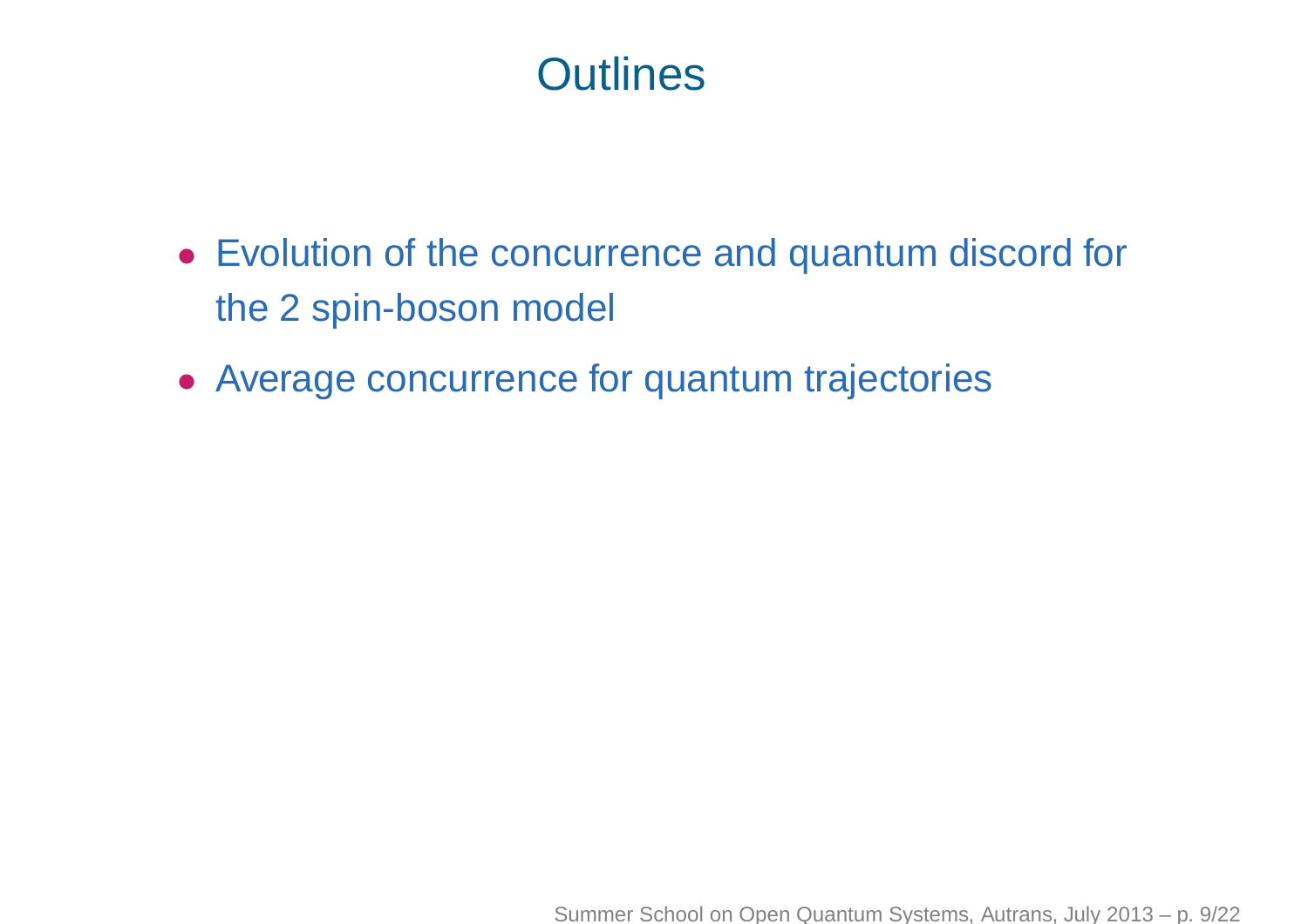## **Outlines**

- Evolution of the concurrence and quantum discord for the 2 spin-boson model
- Average concurrence for quantum trajectories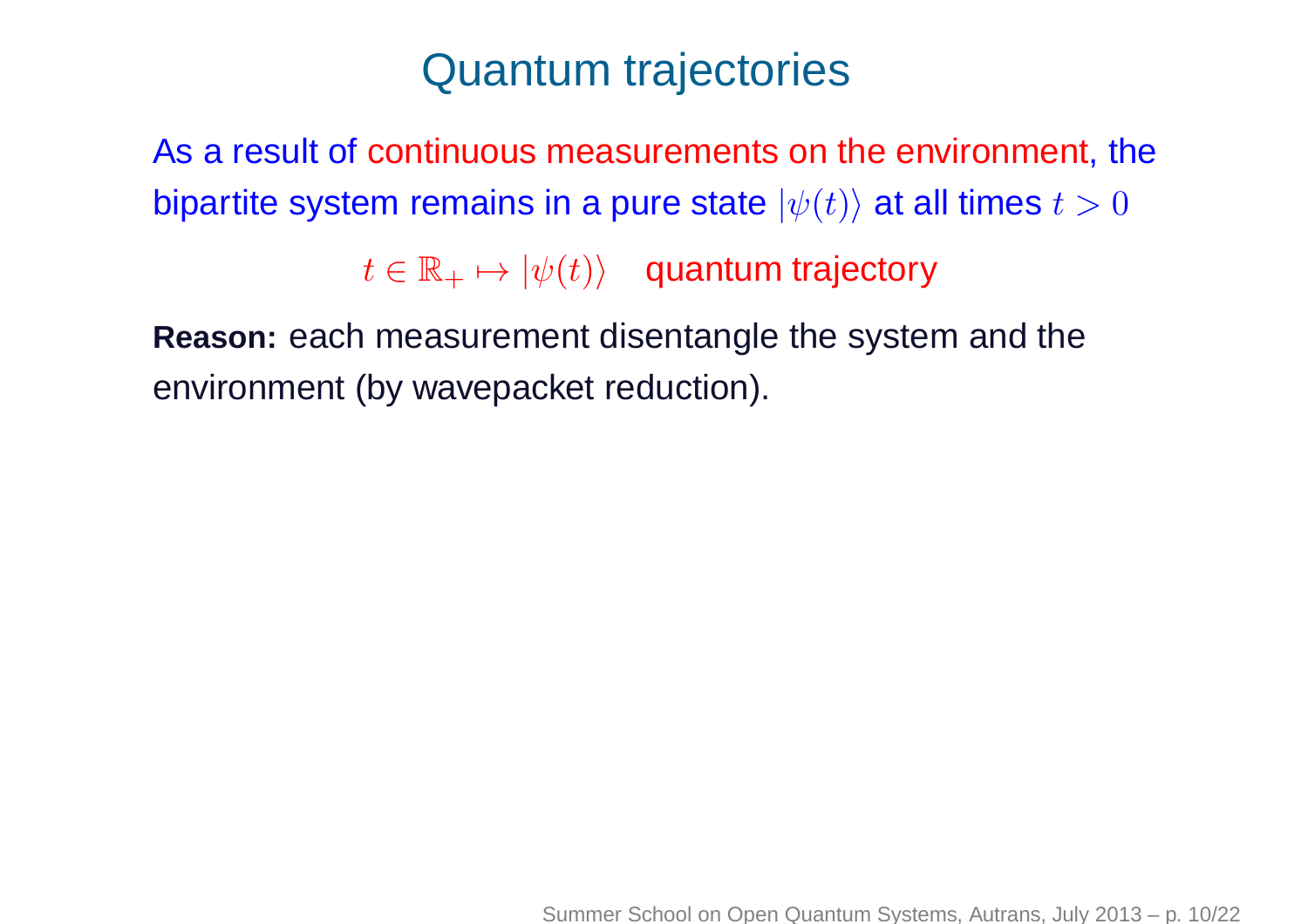## Quantum trajectories

As <sup>a</sup> result of continuous measurements on the environment, thebipartite system remains in a pure state  $|\psi(t)\rangle$  at all times  $t>0$ 

> $t\in\mathbb{R}_+$  $\psi_+ \mapsto |\psi(t)\rangle$  quantum trajectory

**Reason:** each measurement disentangle the system and theenvironment (by wavepacket reduction).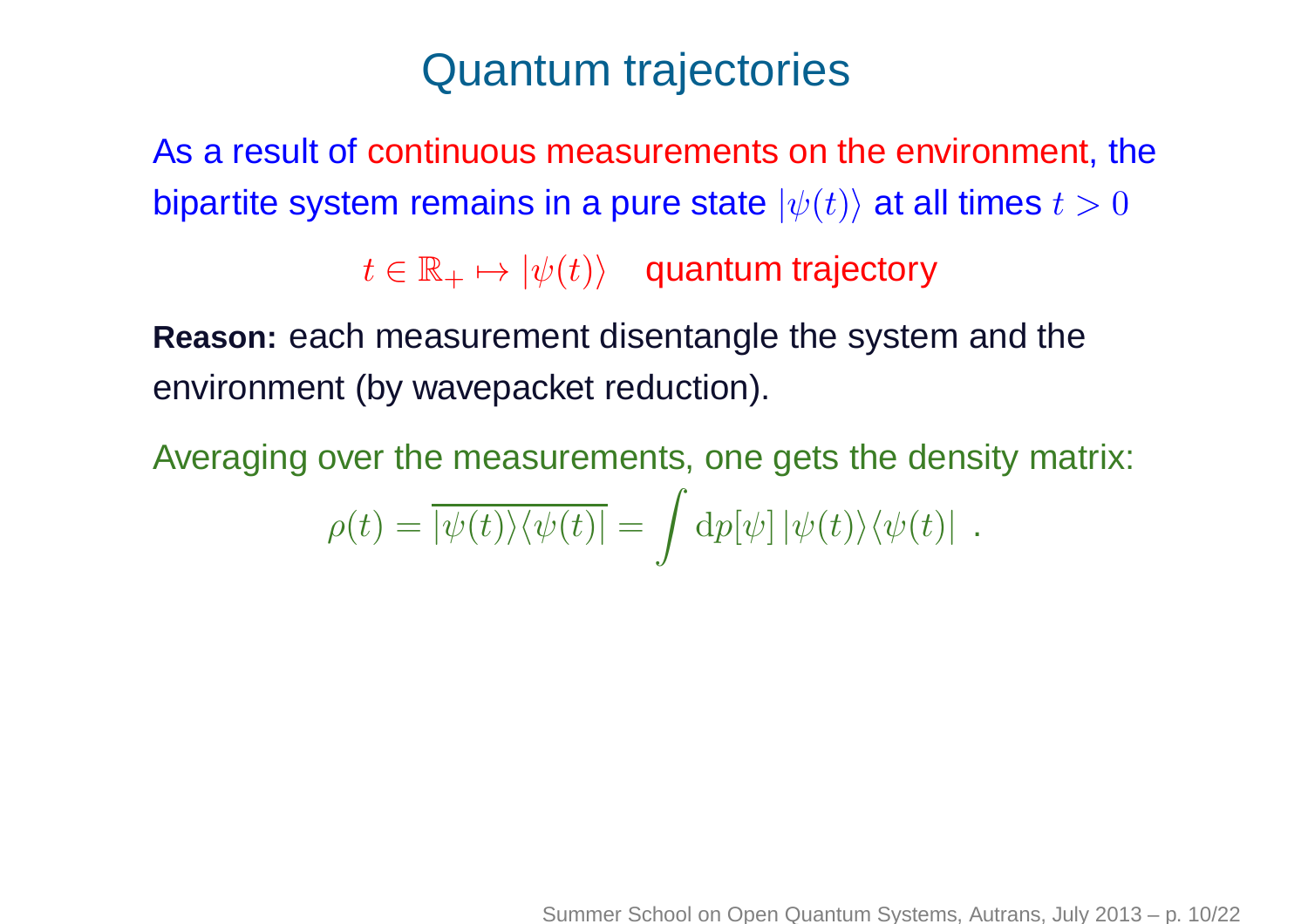## Quantum trajectories

As <sup>a</sup> result of continuous measurements on the environment, thebipartite system remains in a pure state  $|\psi(t)\rangle$  at all times  $t>0$ 

> $t\in\mathbb{R}_+$  $\psi_+ \mapsto |\psi(t)\rangle$  quantum trajectory

**Reason:** each measurement disentangle the system and theenvironment (by wavepacket reduction).

Averaging over the measurements, one gets the density matrix:  $\rho(t)=|\psi($ t $\langle t) \rangle \langle \psi$  $\left($ t $|t)| =$  $\int$  ${\rm d}p[\psi]\,|\psi\>$  $\Big($ t $\langle t) \rangle \langle \psi$  $\left($ t $t)\vert$  .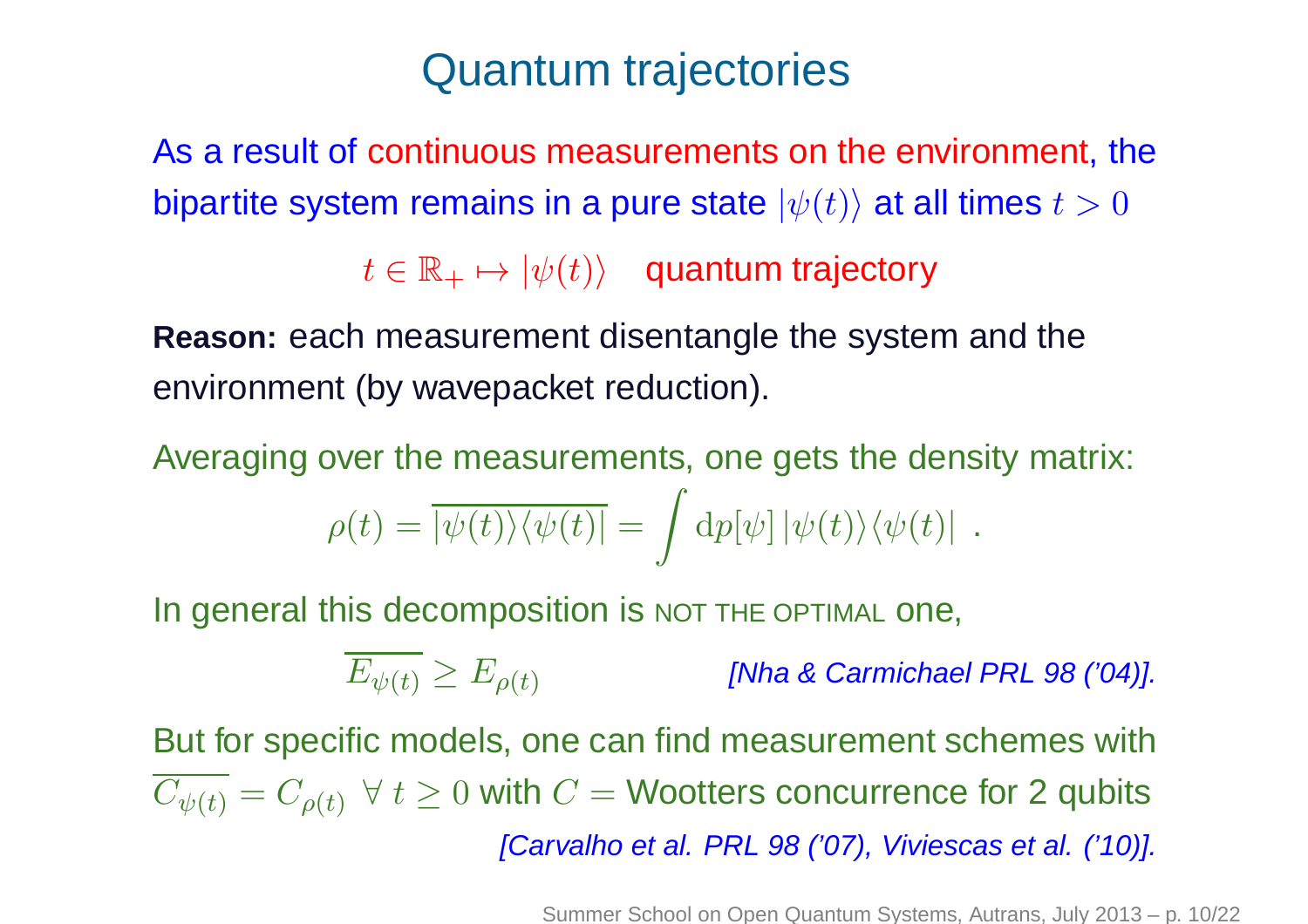## Quantum trajectories

As <sup>a</sup> result of continuous measurements on the environment, thebipartite system remains in a pure state  $|\psi(t)\rangle$  at all times  $t>0$ 

> $t\in\mathbb{R}_+$  $\psi_+ \mapsto |\psi(t)\rangle$  quantum trajectory

**Reason:** each measurement disentangle the system and theenvironment (by wavepacket reduction).

Averaging over the measurements, one gets the density matrix:  $\rho(t)=|\psi($ t $\langle t) \rangle \langle \psi($ t $|t)| =$  $\int$  ${\rm d}p[\psi]\,|\psi($ t $\langle t) \rangle \langle \psi($ t $t)\vert$  .

In general this decomposition is NOT THE OPTIMAL one,

 $E_{\psi(t)} \geq E_{\rho(t)}$ [Nha & Carmichael PRL 98 ('04)].

But for specific models, one can find measurement schemes with $C_{\psi(t)}=C_{\rho(t)}\,\;\forall\;t\geq0$  with  $C=$ = Wootters concurrence for 2 qubits [Carvalho et al. PRL 98 ('07), Viviescas et al. ('10)].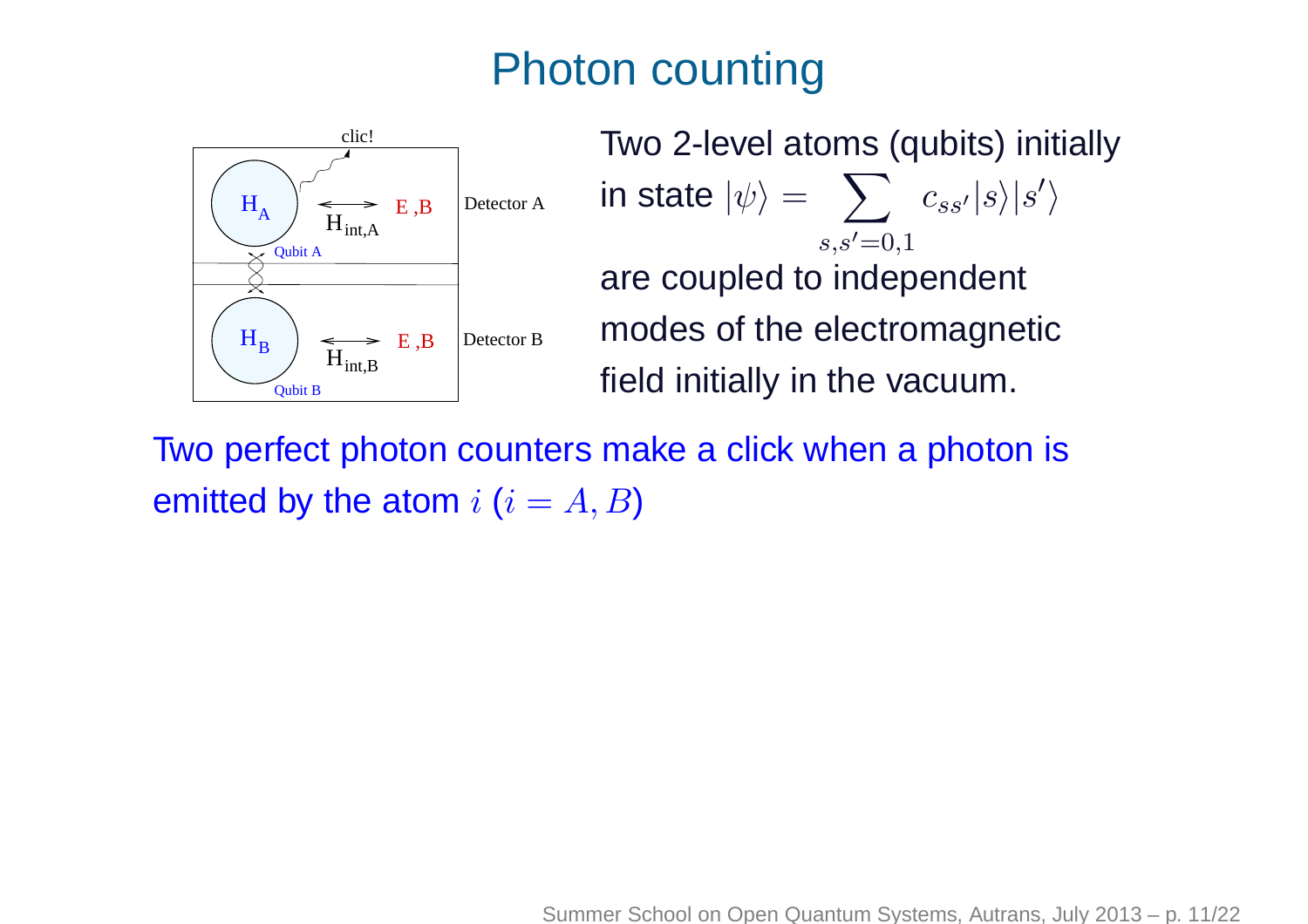## Photon counting



Two 2-level atoms (qubits) initiallyin state  $|\psi\rangle = -\sum_{s:s'}|c_{ss'}|s\rangle|s'\rangle$  $s,s'=0,1$  are coupled to independent modes of the electromagneticfield initially in the vacuum.

Two perfect photon counters make <sup>a</sup> click when <sup>a</sup> photon isemitted by the atom  $i$   $(i = A, B)$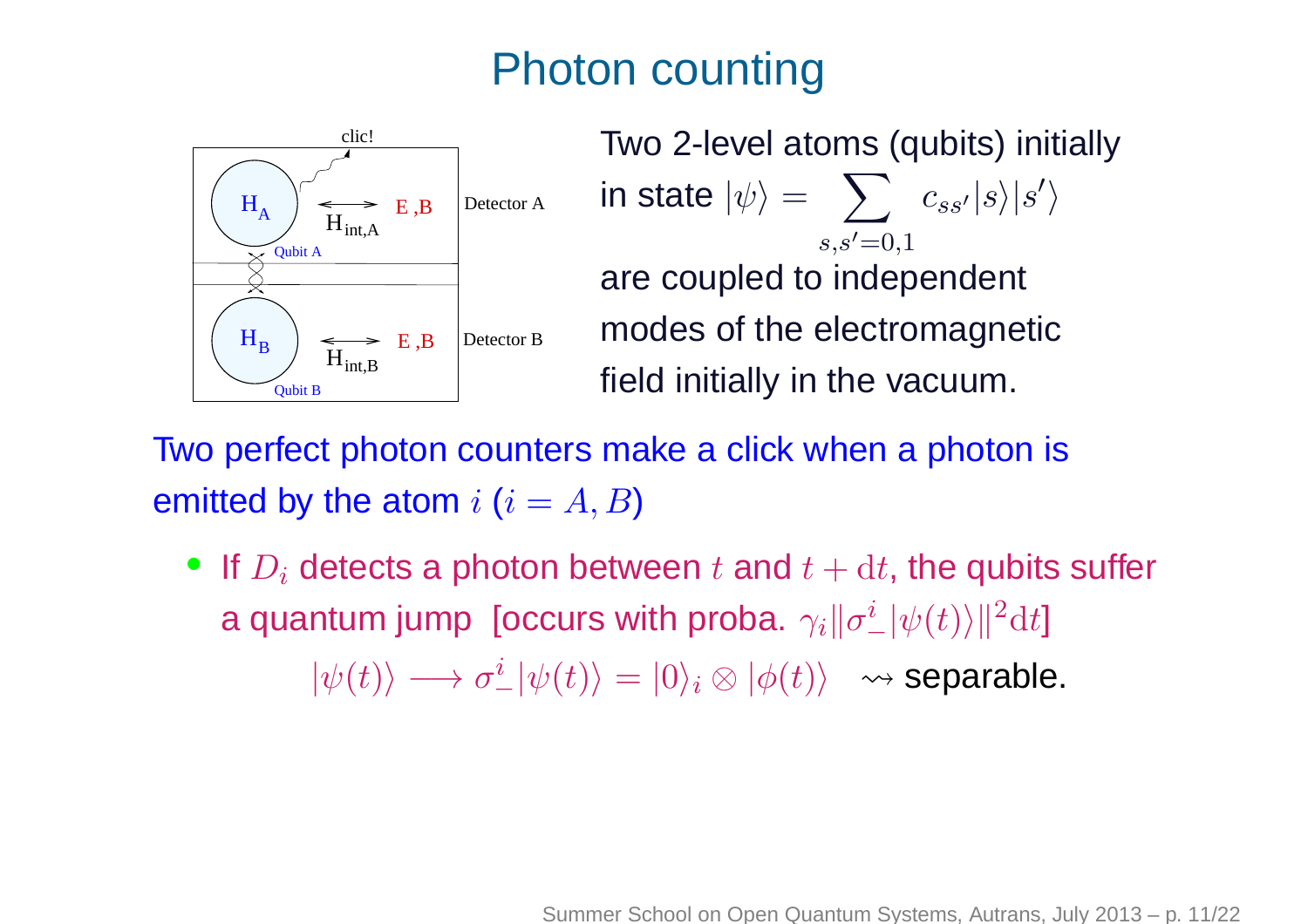## Photon counting



Two 2-level atoms (qubits) initiallyin state  $|\psi\rangle = -\sum_{s:s'}|c_{ss'}|s\rangle|s'\rangle$  $s.s′=0.1$  are coupled to independent modes of the electromagneticfield initially in the vacuum.

Two perfect photon counters make <sup>a</sup> click when <sup>a</sup> photon isemitted by the atom  $i$   $(i = A, B)$ 

 $\bullet\ \textsf{If}\ D_i$  detects a photon between  $t$  and  $t+\mathrm{d} t,$  the qubits suffer a quantum jump [occurs with proba.  $\gamma_i \|\sigma_-^i|\psi(t)\rangle|^2 dt$ ]

 $|\psi(t)\rangle \longrightarrow \sigma_-^i|\psi(t)\rangle = |0\rangle_i\otimes |\phi(t)\rangle \;\rightsquigarrow$  separable.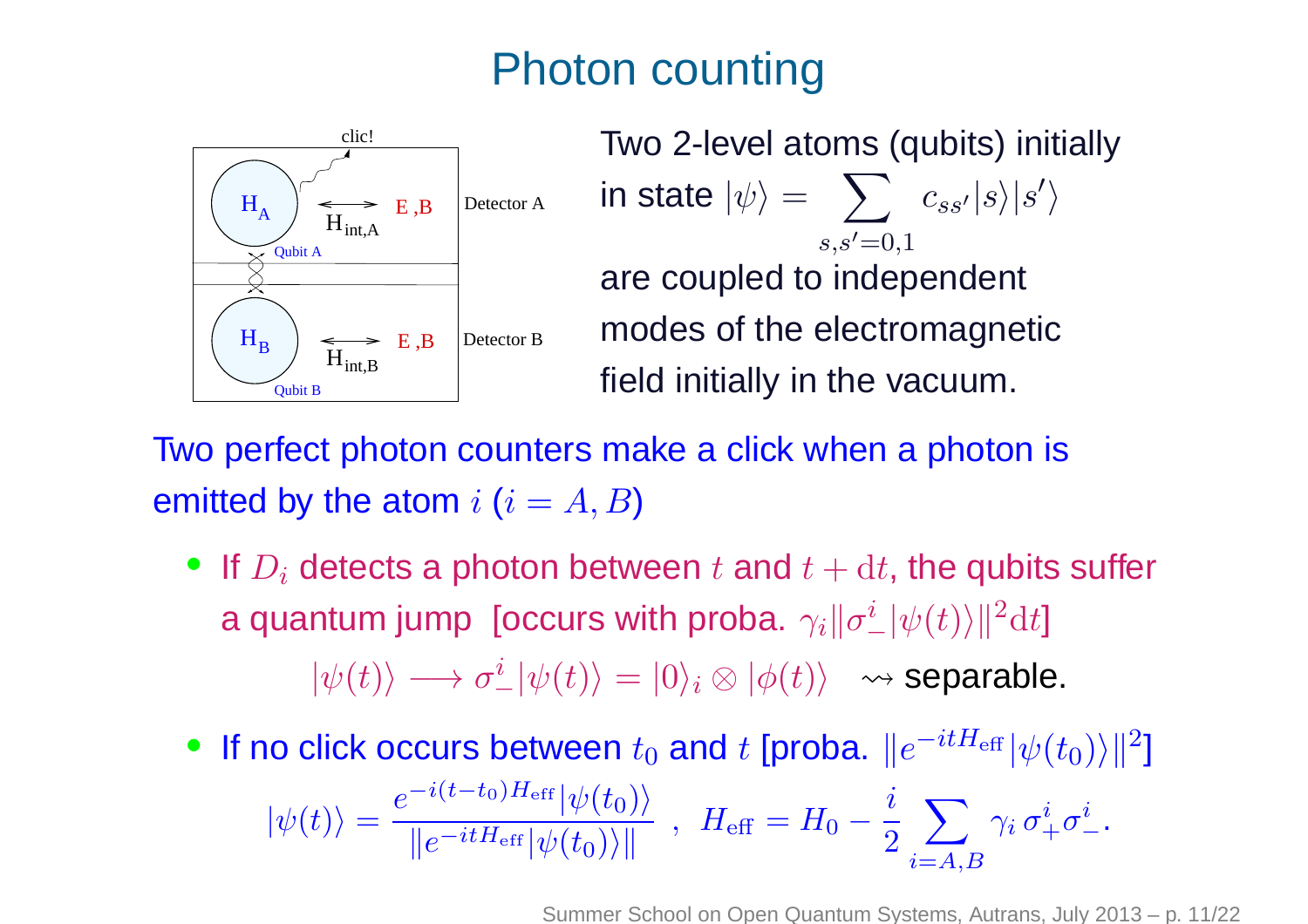## Photon counting



Two 2-level atoms (qubits) initiallyin state  $|\psi\rangle = -\sum_{s:s'}|c_{ss'}|s\rangle|s'\rangle$  $s,s'=0,1$  are coupled to independent modes of the electromagneticfield initially in the vacuum.

Two perfect photon counters make <sup>a</sup> click when <sup>a</sup> photon isemitted by the atom  $i$   $(i = A, B)$ 

- $\bullet\ \textsf{If}\ D_i$  detects a photon between  $t$  and  $t+\mathrm{d} t,$  the qubits suffer a quantum jump [occurs with proba.  $\gamma_i \|\sigma_-^i|\psi(t)\rangle|^2 dt$ ]  $|\psi(t)\rangle \longrightarrow \sigma_-^i|\psi(t)\rangle = |0\rangle_i\otimes |\phi(t)\rangle \;\rightsquigarrow$  separable.
- If no click occurs between  $t_0$  and  $t$  [proba.  $\|e^{-itH_{\text{eff}}} |\psi(t_0)\rangle\|^2]$  $|\psi(t)\rangle =$  $e^{\displaystyle{-i(t-t_0)H_{\text{eff}}}|\psi(t_0)\rangle\over\displaystyle{\left\Vert e^{-itH_{\text{eff}}} |\psi(t_0)\rangle\right\Vert}\,\,,\,\,\,H_{\text{eff}}=H_0-\frac{i}{2}\sum_{i=A,B}$  $\int_B \gamma_i \, \sigma_+^i \sigma_-^i.$

Summer School on Open Quantum Systems, Autrans, July 2013 – p. 11/22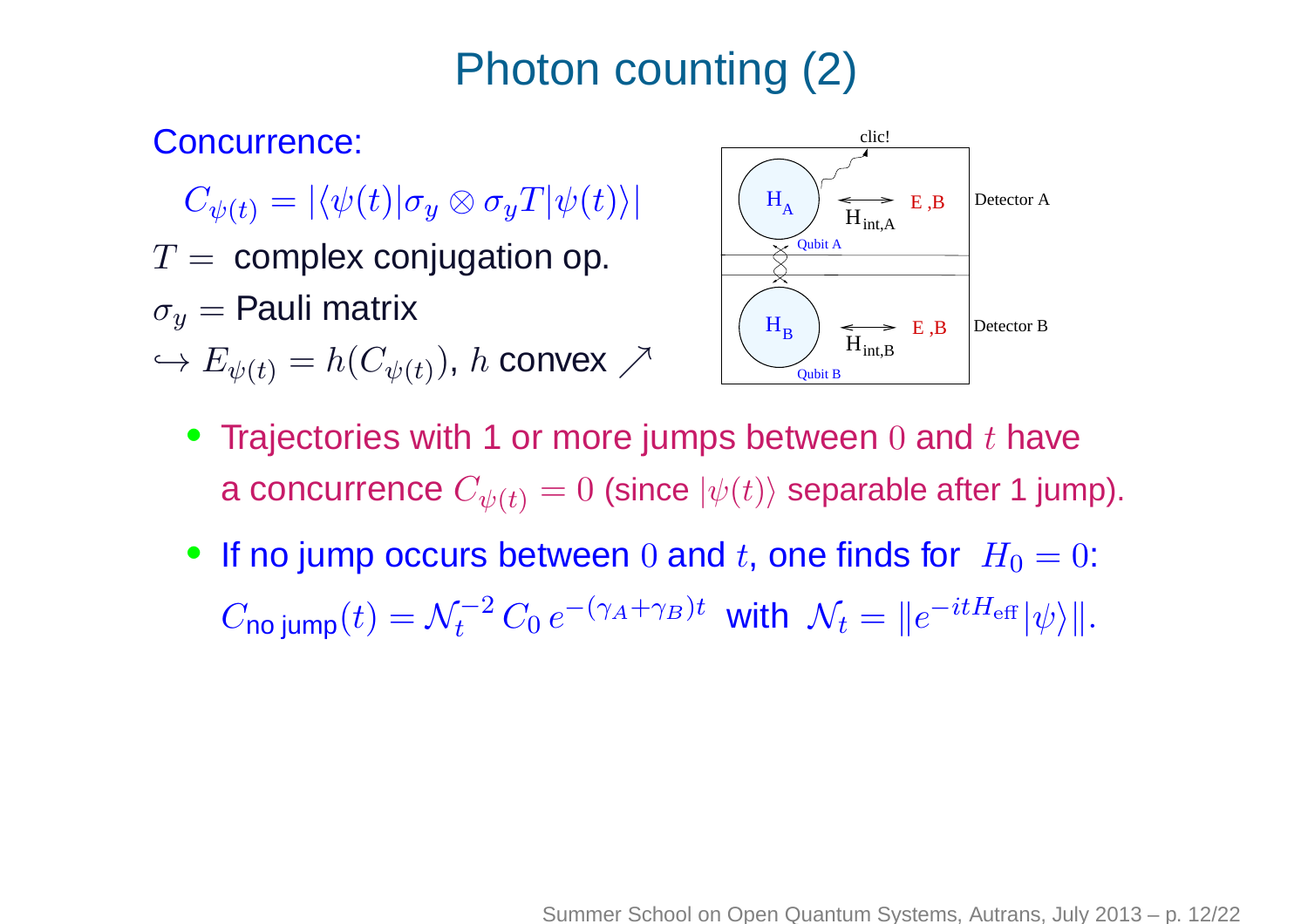#### Concurrence:

- $C_{\psi(t)} = \left| \langle \psi(t) | \sigma_y \otimes \sigma_y T | \psi(t) \rangle \right|$
- $T=\hbox{\rm \,complex}$  conjugation op.
- $\sigma_y=$  Pauli matrix
- $\hookrightarrow E_{\psi(t)}=h(C_{\psi(t)}),\,h$  convex  $\nearrow$



- • $\bullet~$  Trajectories with 1 or more jumps between  $0$  and  $t$  have a concurrence  $C_{\psi(t)} = 0$  (since  $|\psi(t)\rangle$  separable after 1 jump).
- If no jump occurs between  $0$  and  $t$ , one finds for  $H_0 = 0$ :  $C$ no jump $(t) = \mathcal{N}_t^{-2}$  $\int_t^{-2} C_0 \, e^{-(\gamma_A + \gamma_B) t}$  with  $\mathcal{N}_t=$  $\|e^{-itH_{\text{eff}}} |\psi\rangle\|.$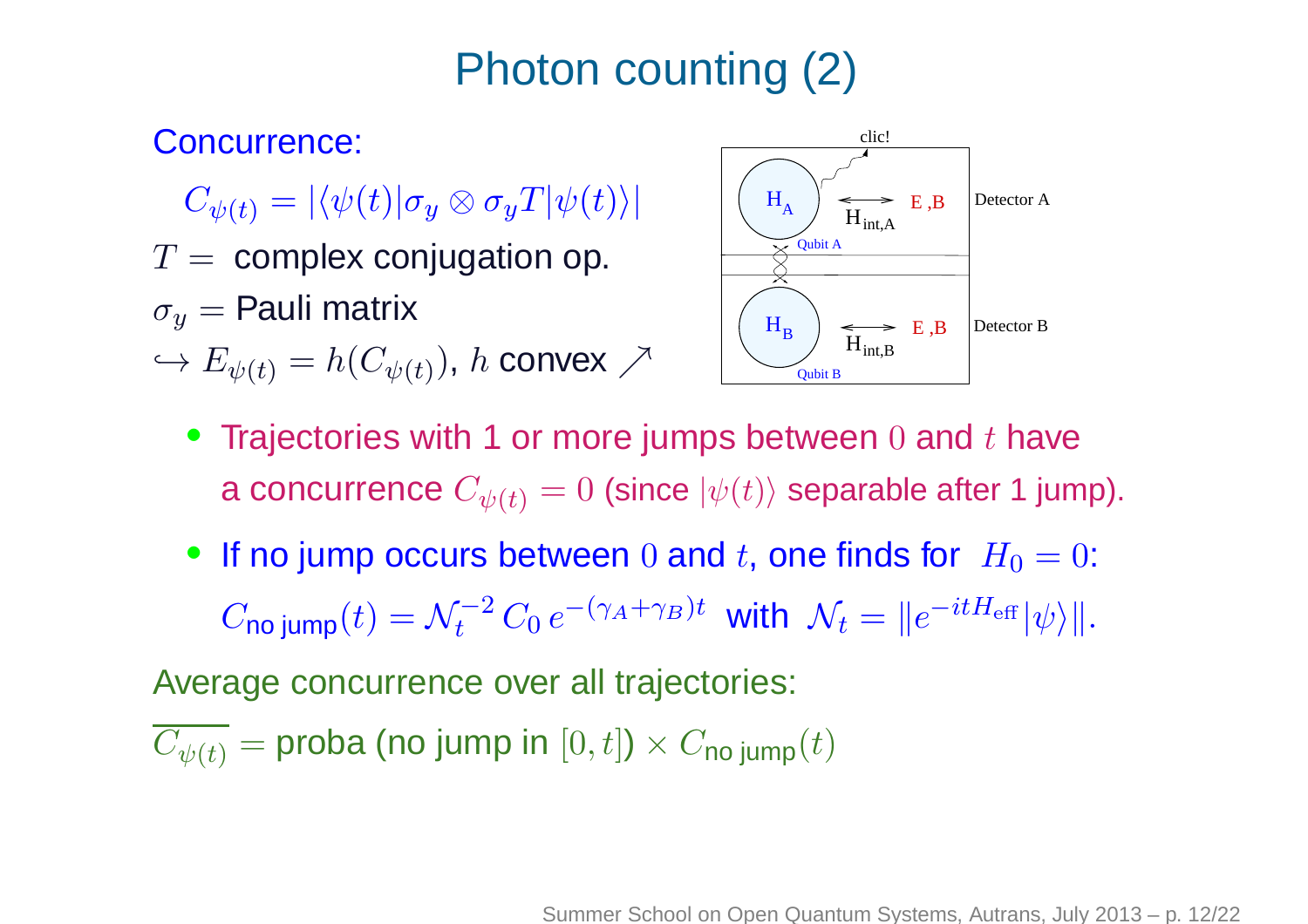#### Concurrence:

- $C_{\psi(t)} = \left| \langle \psi(t) | \sigma_y \otimes \sigma_y T | \psi(t) \rangle \right|$
- $T=\hbox{\rm \,complex}$  conjugation op.
- $\sigma_y=$  Pauli matrix
- $\hookrightarrow E_{\psi(t)}=h(C_{\psi(t)}),\,h$  convex  $\nearrow$



- Trajectories with 1 or more jumps between 0 and  $t$  have a concurrence  $C_{\psi(t)} = 0$  (since  $|\psi(t)\rangle$  separable after 1 jump).
- If no jump occurs between  $0$  and  $t$ , one finds for  $H_0 = 0$ :  $C$ no jump $(t) = \mathcal{N}_t^{-2}$  $\int_t^{-2} C_0 \, e^{-(\gamma_A + \gamma_B) t}$  with  $\mathcal{N}_t=$  $\|e^{-itH_{\text{eff}}} |\psi\rangle\|.$

Average concurrence over all trajectories:

$$
\overline{C_{\psi(t)}} = \text{proba (no jump in } [0, t]) \times C_{\text{no jump}}(t)
$$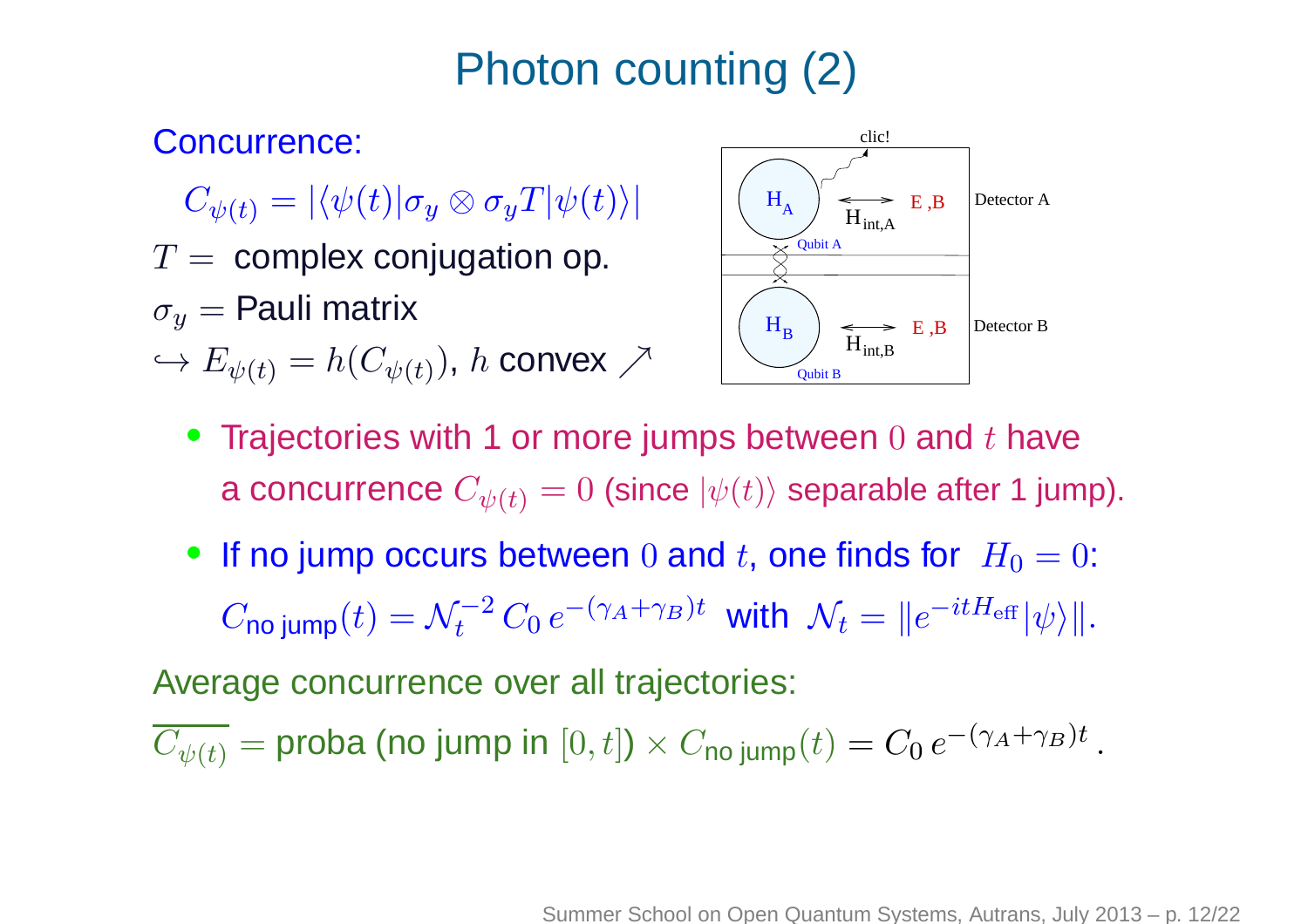#### Concurrence:

- $C_{\psi(t)} = \left| \langle \psi(t) | \sigma_y \otimes \sigma_y T | \psi(t) \rangle \right|$
- $T=\hbox{\rm \,complex}$  conjugation op.
- $\sigma_y=$  Pauli matrix
- $\hookrightarrow E_{\psi(t)}=h(C_{\psi(t)}),\,h$  convex  $\nearrow$



- Trajectories with 1 or more jumps between 0 and  $t$  have a concurrence  $C_{\psi(t)} = 0$  (since  $|\psi(t)\rangle$  separable after 1 jump).
- If no jump occurs between  $0$  and  $t$ , one finds for  $H_0 = 0$ :  $C$ no jump $(t) = \mathcal{N}_t^{-2}$  $\int_t^{-2} C_0 \, e^{-(\gamma_A + \gamma_B)t}$  with  $\mathcal{N}_t=$  $\|e^{-itH_{\text{eff}}} |\psi\rangle\|.$

Average concurrence over all trajectories:

 $C_{\psi(t)} = \mathsf{proba}$  (no jump in  $[0,t]) \times C_{\mathsf{no} \text{-jump}}(t)$  $=C_0 e^{-(\gamma_A + \gamma_A + \gamma_B)}$  $\gamma_B)t$  .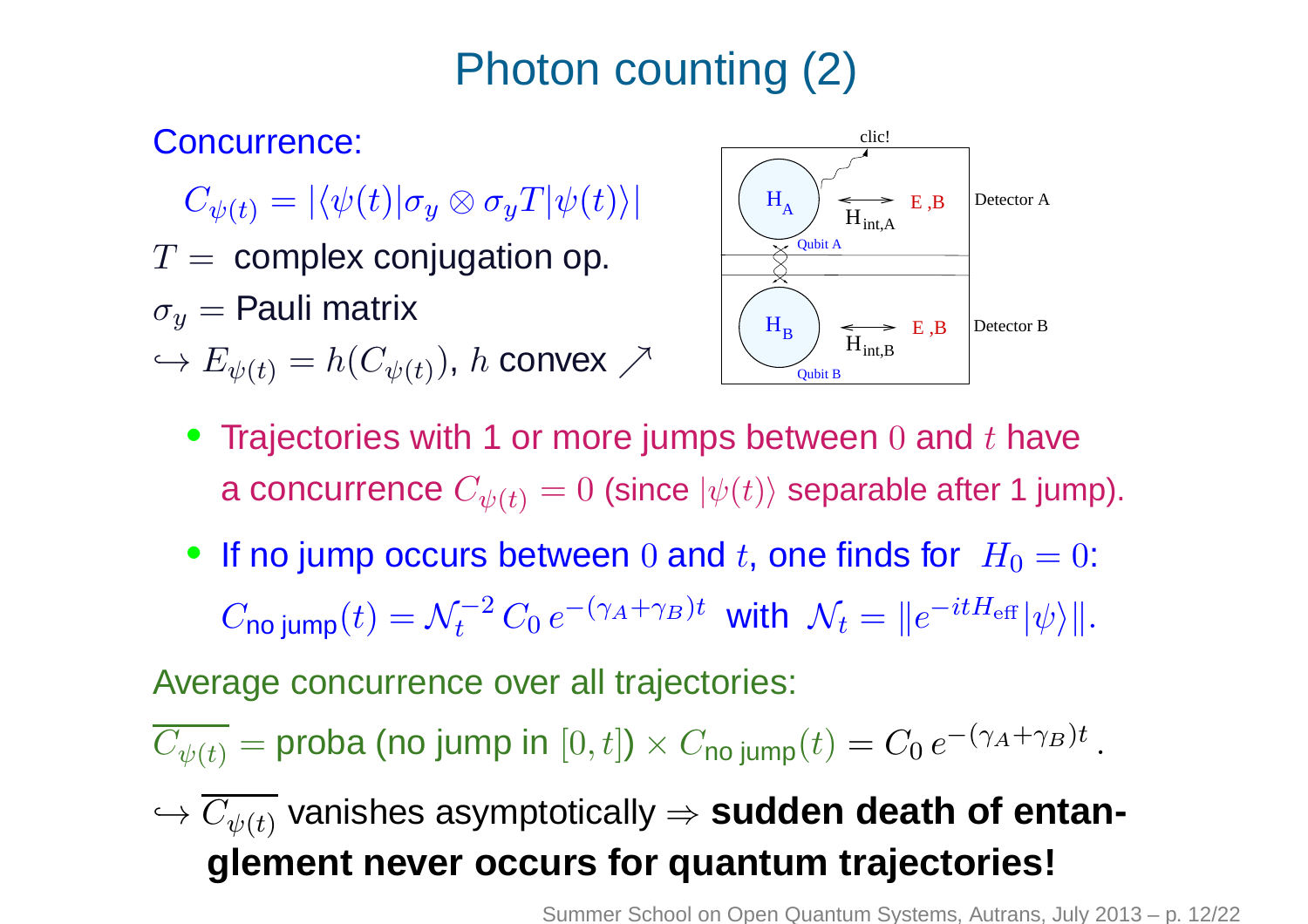#### Concurrence:

- $C_{\psi(t)} = \left| \langle \psi(t) | \sigma_y \otimes \sigma_y T | \psi(t) \rangle \right|$
- $T=\hbox{\rm \,complex}$  conjugation op.
- $\sigma_y=$  Pauli matrix
- $\hookrightarrow E_{\psi(t)}=h(C_{\psi(t)}),\,h$  convex  $\nearrow$



- Trajectories with 1 or more jumps between 0 and  $t$  have a concurrence  $C_{\psi(t)} = 0$  (since  $|\psi(t)\rangle$  separable after 1 jump).
- If no jump occurs between  $0$  and  $t$ , one finds for  $H_0 = 0$ :  $C$ no jump $(t) = \mathcal{N}_t^{-2}$  $\int_t^{-2} C_0 \, e^{-(\gamma_A + \gamma_B)t}$  with  $\mathcal{N}_t=$  $\|e^{-itH_{\text{eff}}} |\psi\rangle\|.$

Average concurrence over all trajectories:

$$
\overline{C_{\psi(t)}} = \text{proba (no jump in } [0, t]) \times C_{\text{no jump}}(t) = C_0 e^{-(\gamma_A + \gamma_B)t}
$$

## $\hookrightarrow C_{\psi(t)}$  vanishes asymptotically  $\Rightarrow$  **sudden death of entanglement never occurs for quantum trajectories!**

Summer School on Open Quantum Systems, Autrans, July 2013 – p. 12/22

.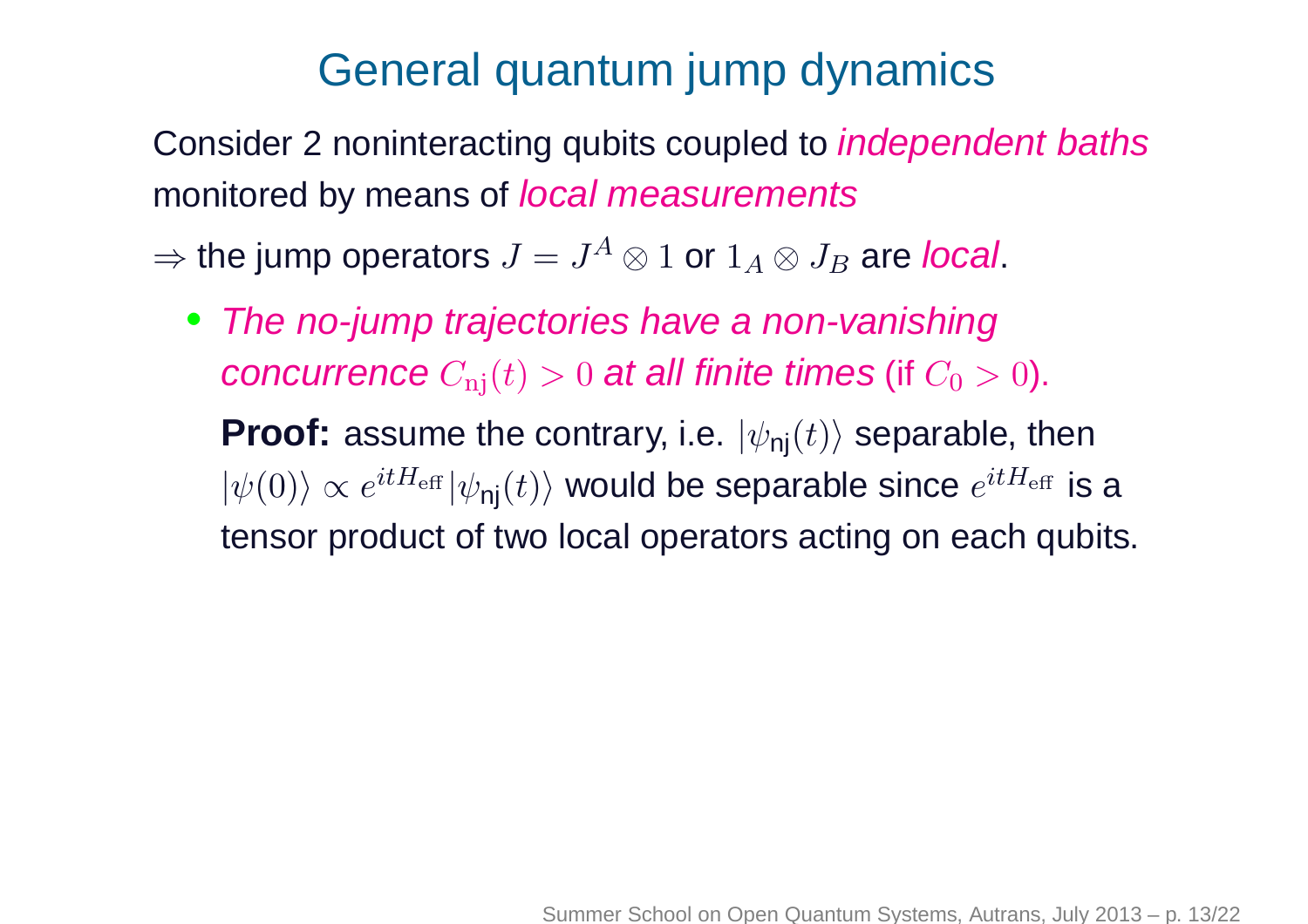## General quantum jump dynamics

Consider 2 noninteracting qubits coupled to *independent baths* monitored by means of *local measurements* 

 $\Rightarrow$  the jump operators  $J=J^A\otimes 1$  or  $1_A\otimes J_B$  are *local*.

• The no-jump trajectories have <sup>a</sup> non-vanishingconcurrence  $C_{\rm nj}(t)>0$  at all finite times (if  $C_0>0$ ).  $\textbf{Proof:} \text{ assume the contrary, i.e. } |\psi_{\textsf{nj}}(t)\rangle \text{ separable, then}$  $|\psi(0)\rangle\propto e^{itH_{\rm eff}} |\psi_\textsf{nj}(t)\rangle$  would be separable since  $e^{itH_{\rm eff}}$  is a tensor product of two local operators acting on each qubits.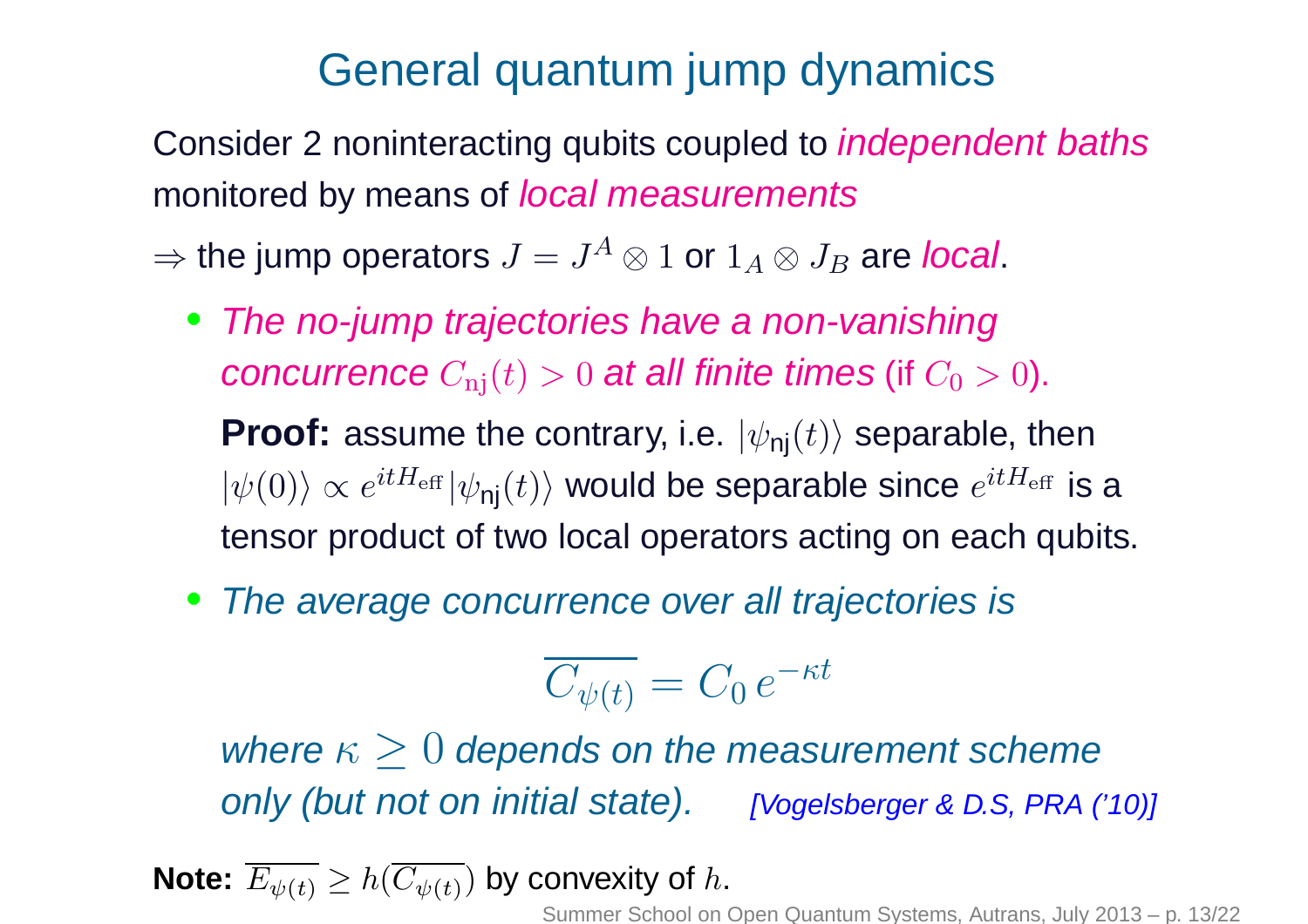## General quantum jump dynamics

Consider 2 noninteracting qubits coupled to *independent baths* monitored by means of *local measurements* 

 $\Rightarrow$  the jump operators  $J=J^A\otimes 1$  or  $1_A\otimes J_B$  are *local*.

- The no-jump trajectories have <sup>a</sup> non-vanishingconcurrence  $C_{\rm nj}(t)>0$  at all finite times (if  $C_0>0$ ).  $\textbf{Proof:} \text{ assume the contrary, i.e. } |\psi_{\textsf{nj}}(t)\rangle \text{ separable, then}$  $|\psi(0)\rangle\propto e^{itH_{\rm eff}} |\psi_\textsf{nj}(t)\rangle$  would be separable since  $e^{itH_{\rm eff}}$  is a tensor product of two local operators acting on each qubits.
- •The average concurrence over all trajectories is

$$
\overline{C_{\psi(t)}} = C_0 e^{-\kappa t}
$$

where  $\kappa\geq0$  depends on the measurement scheme only (but not on initial state). [Vogelsberger & D.S, PRA ('10)]

**Note:**  $E_{\psi(t)} \geq h(C_{\psi(t)})$  by convexity of  $h$ .

Summer School on Open Quantum Systems, Autrans, July 2013 – p. 13/22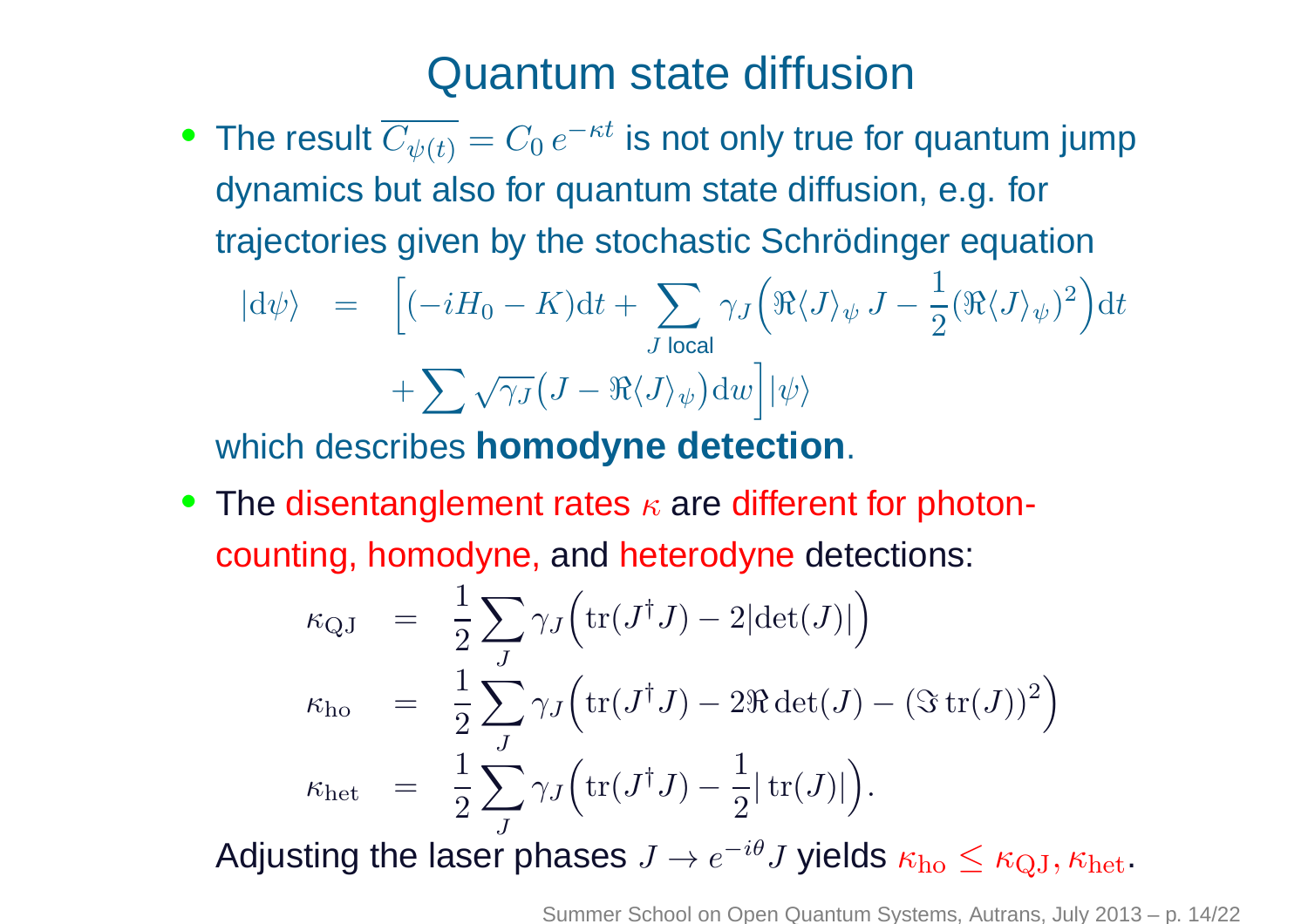#### Quantum state diffusion

 $\bullet~$  The result  $C_{\psi(t)}=C_0\,e$  dynamics but also for quantum state diffusion, e.g. for $^{-\kappa t}$  is not only true for quantum jump trajectories given by the stochastic Schrödinger equation

$$
|\mathrm{d}\psi\rangle = \left[(-iH_0 - K)\mathrm{d}t + \sum_{J \text{ local}} \gamma_J \left(\Re\langle J\rangle_{\psi} J - \frac{1}{2}(\Re\langle J\rangle_{\psi})^2\right)\mathrm{d}t + \sum \sqrt{\gamma_J} \left(J - \Re\langle J\rangle_{\psi}\right) \mathrm{d}w\right] |\psi\rangle
$$

which describes **homodyne detection**.

 $\bullet\,$  The disentanglement rates  $\kappa$  are different for photoncounting, homodyne, and heterodyne detections:

$$
\kappa_{\text{QJ}} = \frac{1}{2} \sum_{J} \gamma_{J} \Big( \text{tr}(J^{\dagger} J) - 2|\text{det}(J)| \Big) \n\kappa_{\text{ho}} = \frac{1}{2} \sum_{J} \gamma_{J} \Big( \text{tr}(J^{\dagger} J) - 2\Re \text{det}(J) - (\Im \text{tr}(J))^2 \Big) \n\kappa_{\text{het}} = \frac{1}{2} \sum_{J} \gamma_{J} \Big( \text{tr}(J^{\dagger} J) - \frac{1}{2} |\text{tr}(J)| \Big).
$$

Adjusting the laser phases  $J\to e^{-i\theta}$  $^{\theta}J$  yields  $\kappa_{\text{ho}} \leq \kappa_{\text{QJ}}, \kappa_{\text{het}}.$ 

Summer School on Open Quantum Systems, Autrans, July 2013 – p. 14/22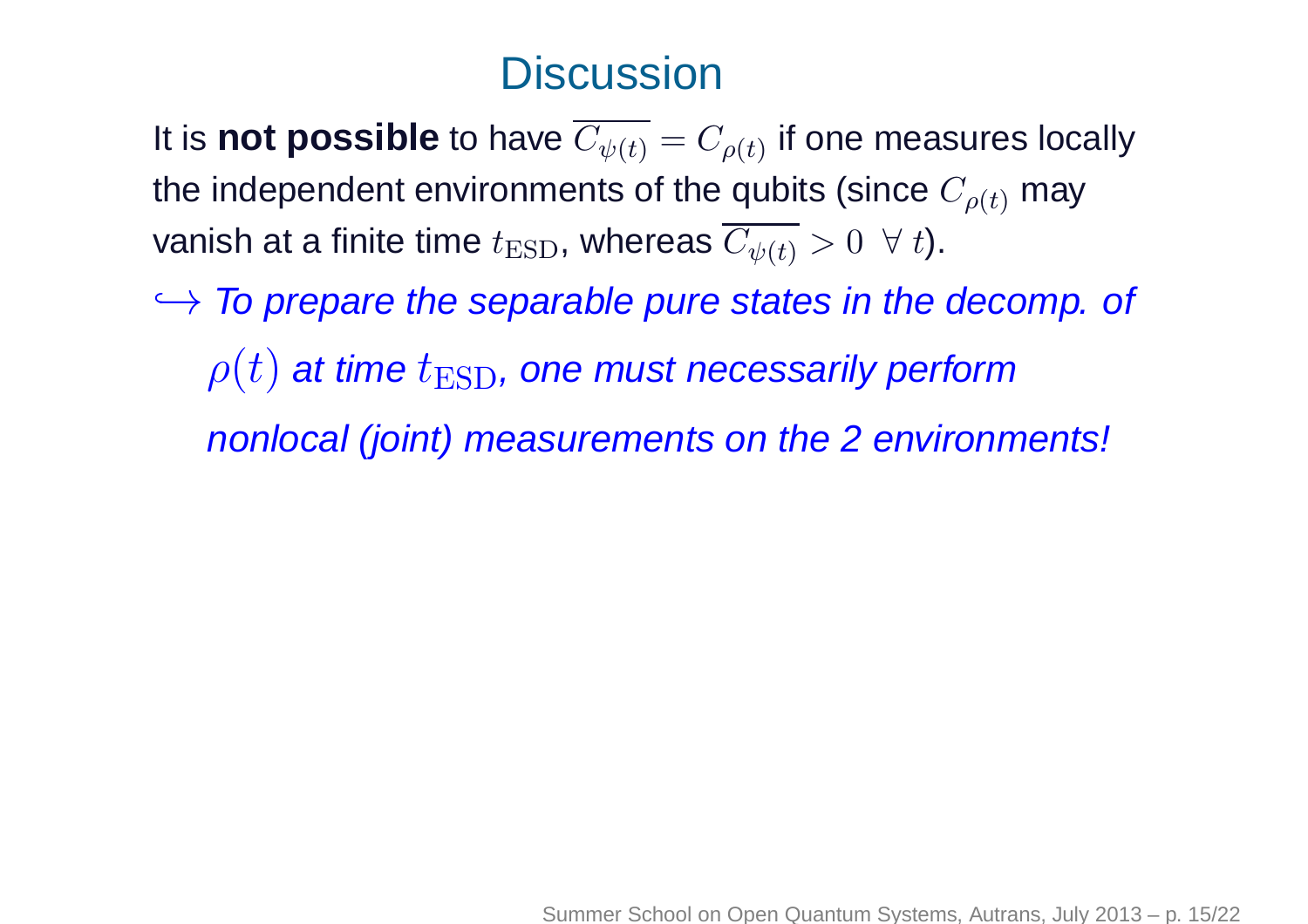## **Discussion**

It is  $\textbf{not possible}$  to have  $C_{\psi(t)}=C_{\rho(t)}$  if one measures locally the independent environments of the qubits (since  $C_{\rho(t)}$  may vanish at a finite time  $t_\text{ESD}$ , whereas  $C_{\psi(t)}>0 \;\; \forall \; t).$ 

 $\rightarrow$  To prepare the separable pure states in the decomp. of  $\rho(t)$  at time  $t_\mathrm{ESD}$ , one must necessarily perform nonlocal (joint) measurements on the <sup>2</sup> environments!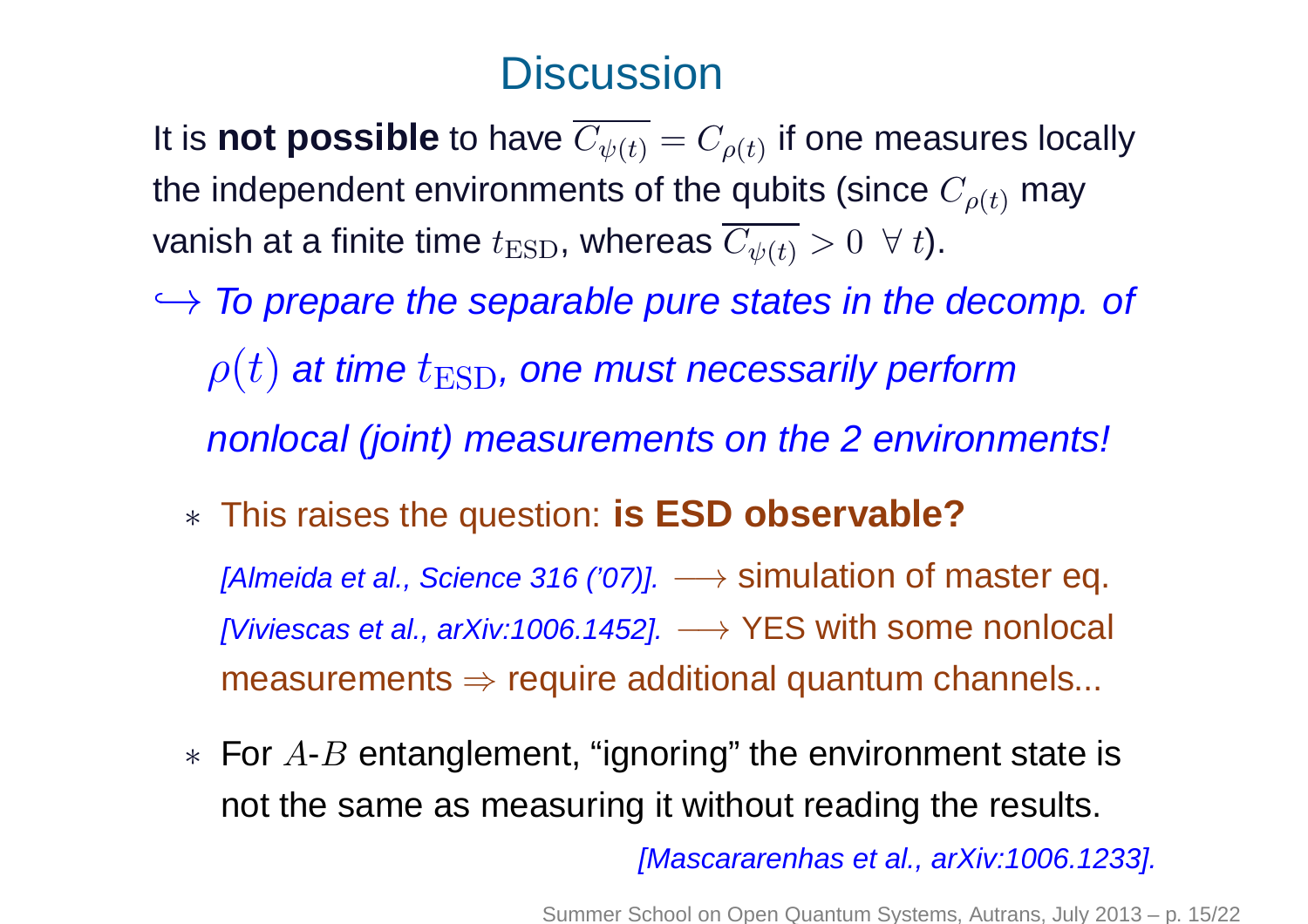## **Discussion**

It is  $\textbf{not possible}$  to have  $C_{\psi(t)}=C_{\rho(t)}$  if one measures locally the independent environments of the qubits (since  $C_{\rho(t)}$  may vanish at a finite time  $t_\text{ESD}$ , whereas  $C_{\psi(t)}>0 \;\; \forall \; t).$ 

- $\rightarrow$  To prepare the separable pure states in the decomp. of  $\rho(t)$  at time  $t_\mathrm{ESD}$ , one must necessarily perform nonlocal (joint) measurements on the <sup>2</sup> environments!
	- ∗ This raises the question: **is ESD observable?** $[Almeida$  et al., Science 316 ('07)].  $\longrightarrow$  simulation of master eq.  $[Viviescas~et~al., arXiv:1006.1452]. \longrightarrow YES~with~some~nonlocal$

measurements  $\Rightarrow$  require additional quantum channels...

 $*$  For  $A$ - $B$  entanglement, "ignoring" the environment state is not the same as measuring it without reading the results.

[Mascararenhas et al., arXiv:1006.1233].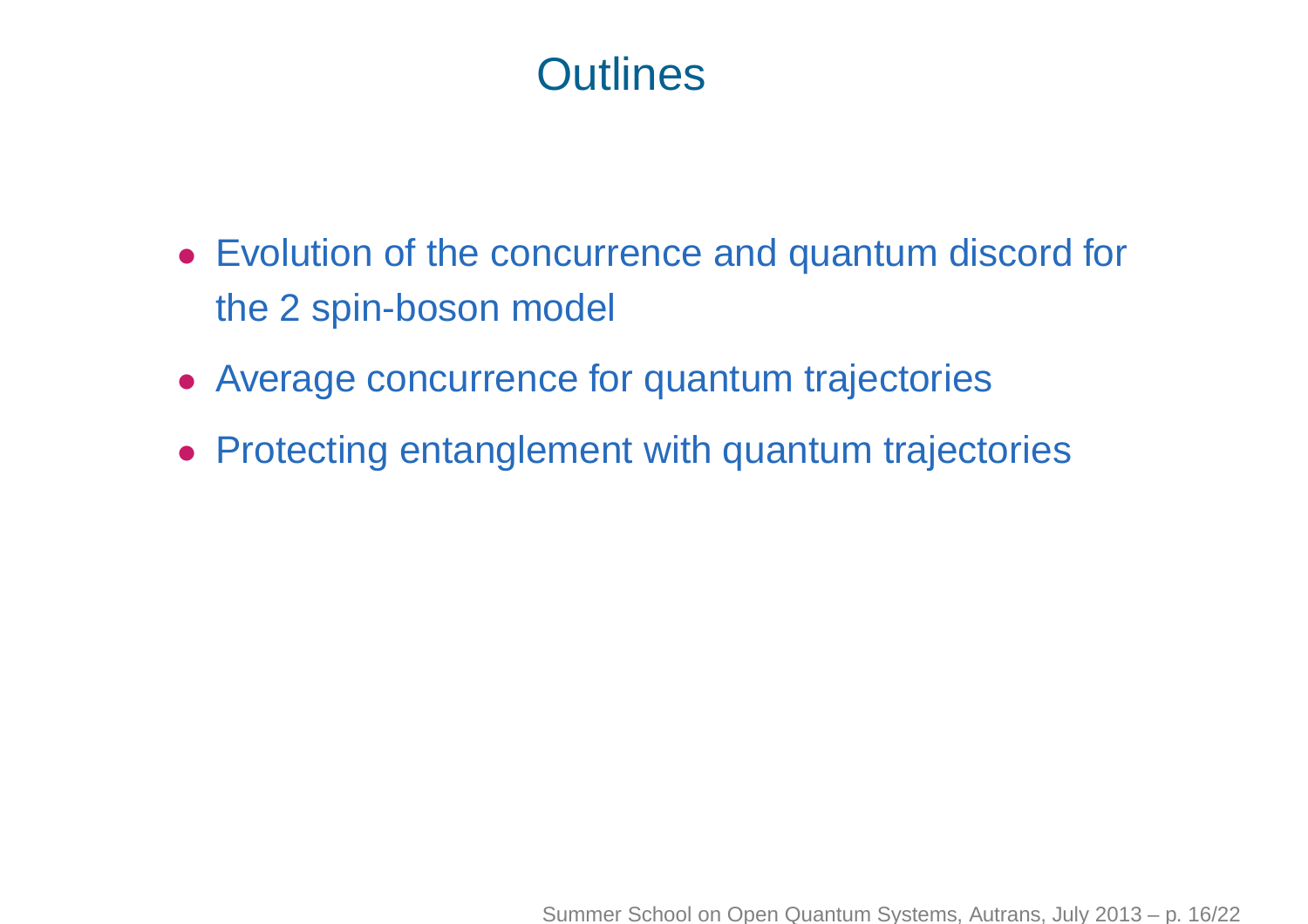## **Outlines**

- Evolution of the concurrence and quantum discord for the 2 spin-boson model
- Average concurrence for quantum trajectories
- Protecting entanglement with quantum trajectories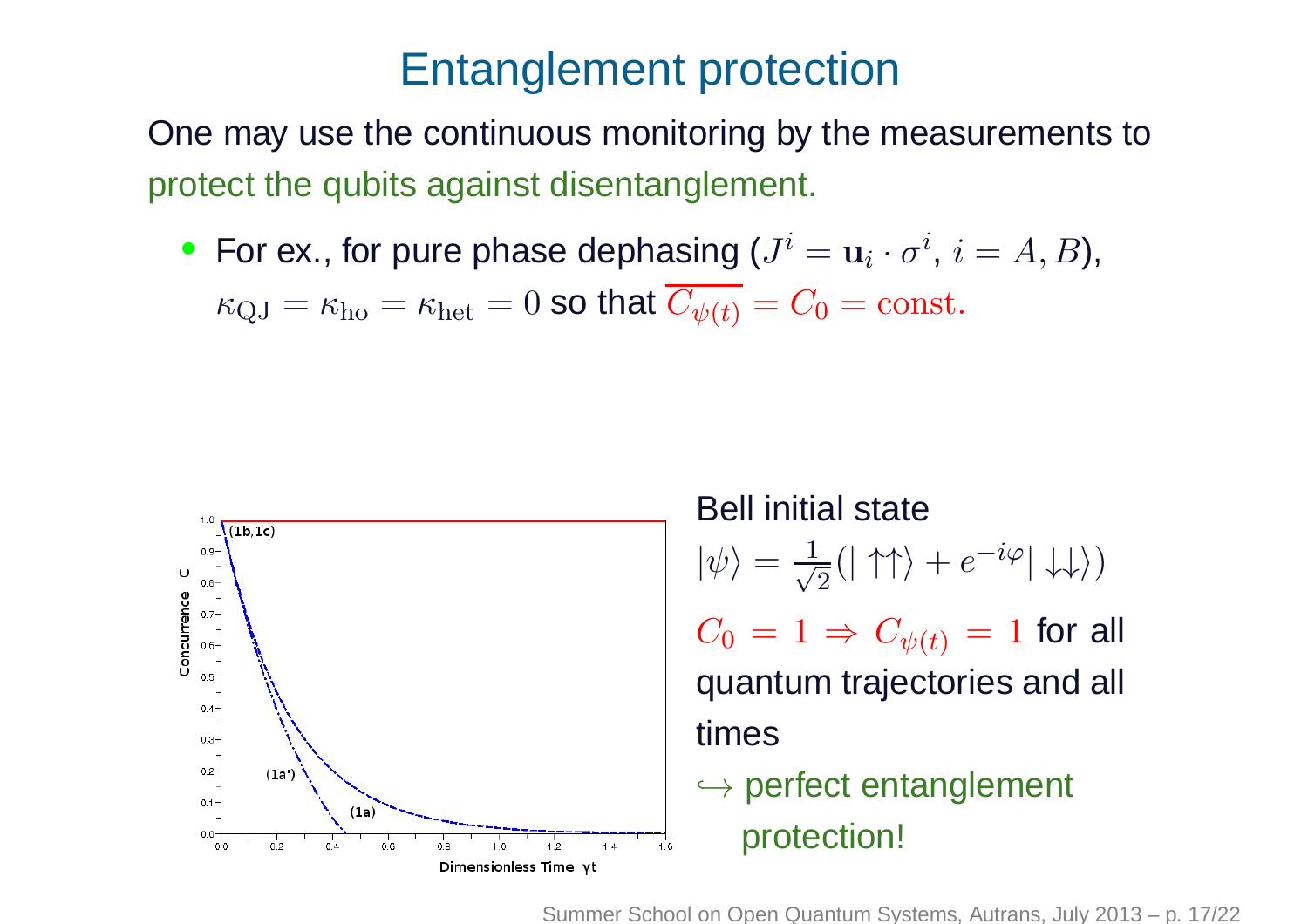### Entanglement protection

One may use the continuous monitoring by the measurements toprotect the qubits against disentanglement.

• For ex., for pure phase dephasing  $(J^i = \mathbf{u}_i \cdot \sigma)$  $^i,\, i=$  $=A, B$ ),

 $\sim$   $\sim$   $\sim$  $\kappa_{\mathrm{QJ}}=\kappa_{\mathrm{ho}}=\kappa_{\mathrm{het}}=0$  so that  $C_{\psi(t)}=C_0=\mathrm{const.}$ 



Bell initial state $\ket{\psi}$ = $\frac{1}{\sqrt{2}}(|\uparrow\uparrow\rangle + e$  $-i\varphi |\downarrow \downarrow \rangle)$  $C_0\,=\,1\,\Rightarrow\,C_{\psi(t)}\,=\,1$  for all quantum trajectories and all times→ perfect entanglement protection!

Summer School on Open Quantum Systems, Autrans, July 2013 – p. 17/22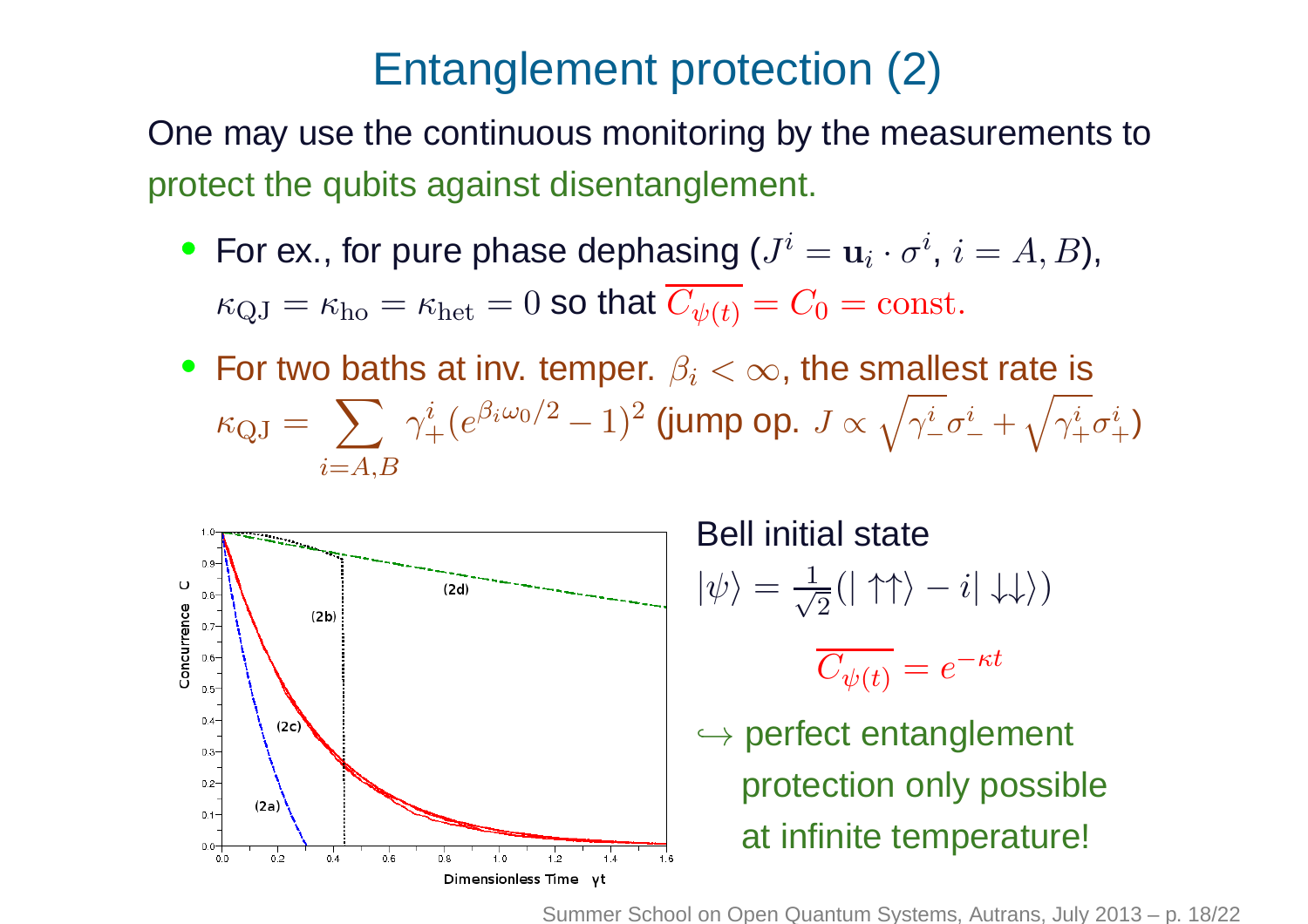## Entanglement protection (2)

One may use the continuous monitoring by the measurements toprotect the qubits against disentanglement.

- For ex., for pure phase dephasing  $(J^i = \mathbf{u}_i \cdot \sigma)$  $\sim$   $\sim$   $\sim$  $^i,\, i=$  $=A, B$ ),  $\kappa_{\mathrm{QJ}}=\kappa_{\mathrm{ho}}=\kappa_{\mathrm{het}}=0$  so that  $C_{\psi(t)}=C_0=\mathrm{const.}$
- For two baths at inv. temper.  $\beta_i < \infty$ , the smallest rate is  $\kappa_{\mathrm{QJ}}=$  $\sum~\gamma$  $i = A,B$  $\frac{i}{+}(e^{\beta_i \omega}$ 0 $\frac{0}{\sqrt{2}}$ 2−−  $(1)^2$  (jump op.  $J \propto$  $\sqrt{}$  $\gamma_-^i\sigma_-^i$   $+$  $\sqrt{}$  $\gamma_+^i\sigma_+^i)$



Bell initial state $|\psi\rangle$ = $\frac{1}{\sqrt{2}}(|\uparrow\uparrow\rangle-i|\downarrow\downarrow\rangle)$  $C_{\psi(t)}=e$  $-\kappa t$ → perfect entanglement<br>"is a selve as sel<sup>it</sup> protection only possible

at infinite temperature!

Summer School on Open Quantum Systems, Autrans, July 2013 – p. 18/22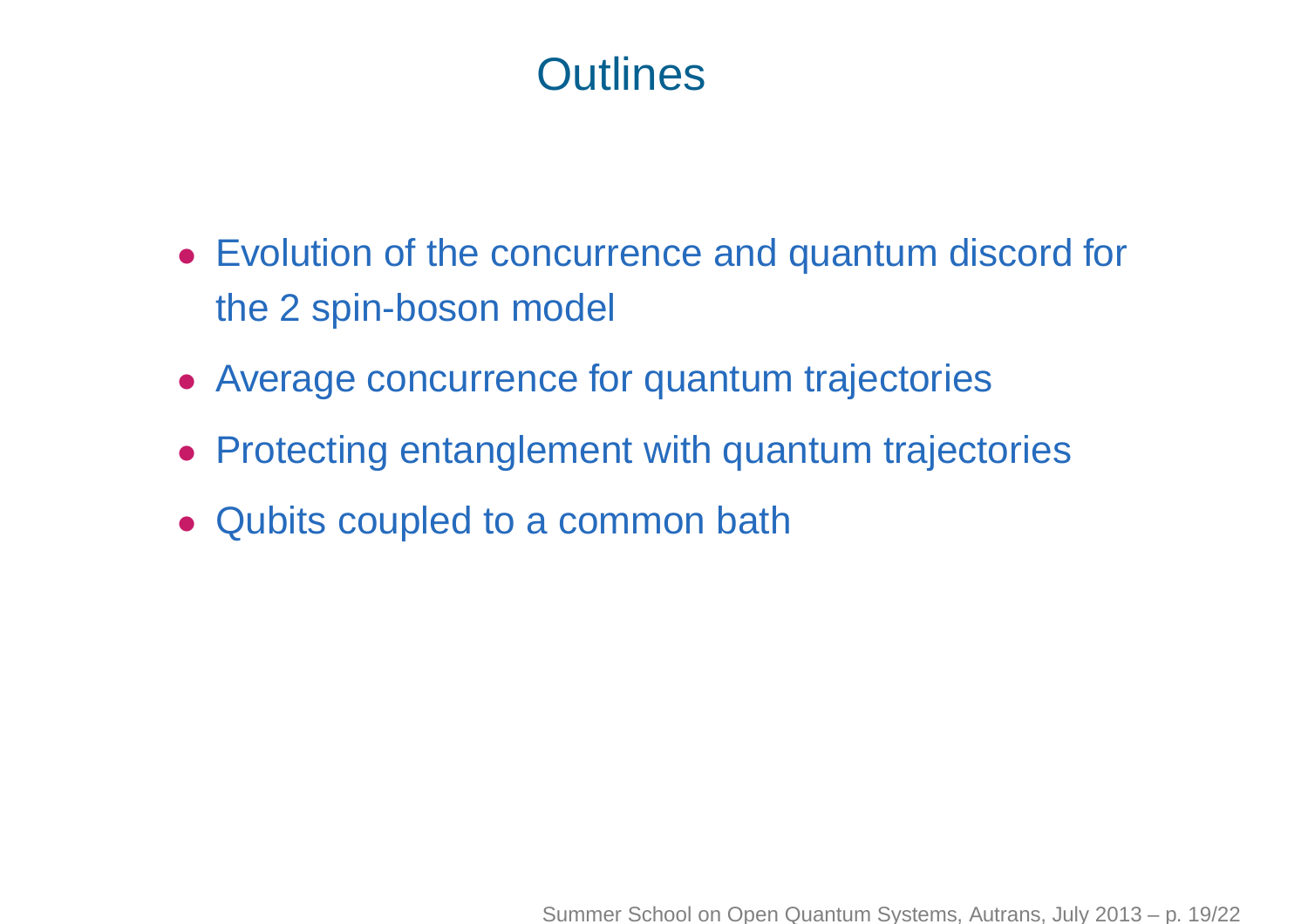## **Outlines**

- Evolution of the concurrence and quantum discord for the 2 spin-boson model
- Average concurrence for quantum trajectories
- Protecting entanglement with quantum trajectories
- Qubits coupled to <sup>a</sup> common bath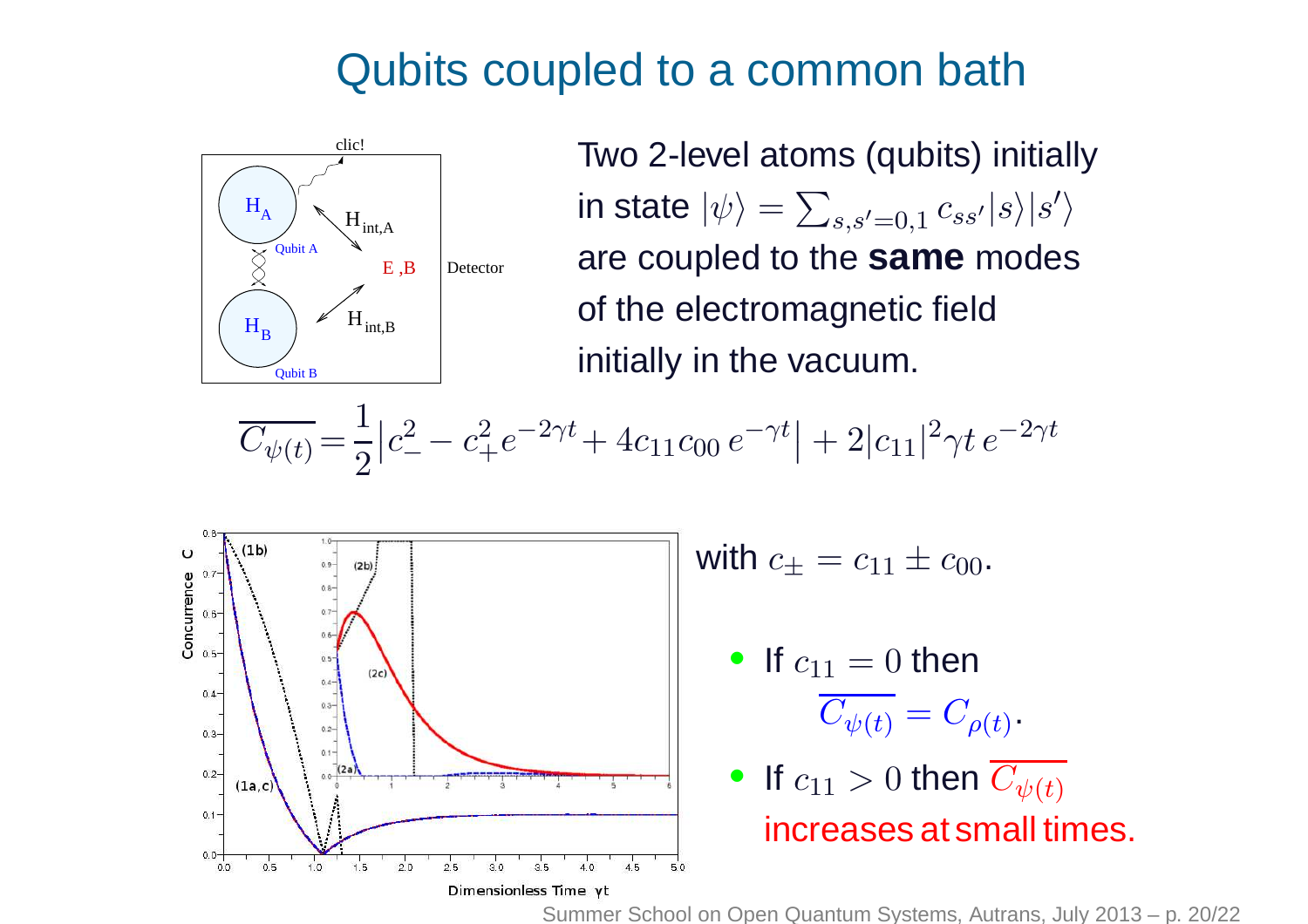### Qubits coupled to <sup>a</sup> common bath



Two 2-level atoms (qubits) initiallyin state  $|\psi\rangle$  are coupled to the **same** modes = $\sum_{s,s'=0,1}c_{ss'}|s\rangle|s'$  $\big\rangle$ of the electromagnetic fieldinitially in the vacuum.

$$
\overline{C_{\psi(t)}} = \frac{1}{2} \left| c_-^2 - c_+^2 e^{-2\gamma t} + 4c_{11} c_{00} e^{-\gamma t} \right| + 2 |c_{11}|^2 \gamma t e^{-2\gamma t}
$$



with  $c_\pm=c_{11}\pm c_{00}.$ 

• If  $c_{11} = 0$  then  $\overline{C_{\psi(t)}}=C_{\rho(t)}$ 

\n- If 
$$
c_{11} > 0
$$
 then  $\overline{C_{\psi(t)}}$  increases at small times.
\n

.

Summer School on Open Quantum Systems, Autrans, July 2013 – p. 20/22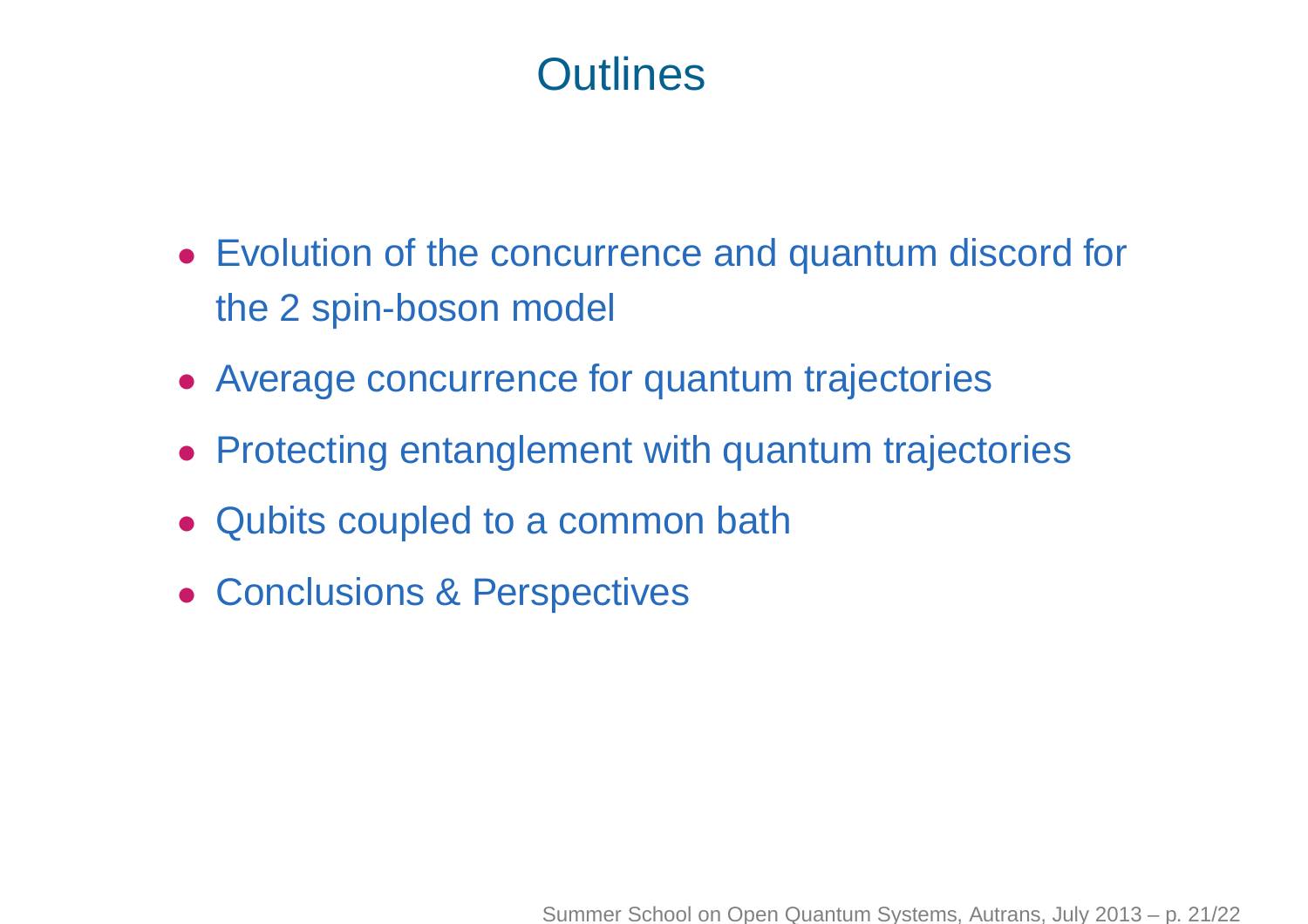## **Outlines**

- Evolution of the concurrence and quantum discord for the 2 spin-boson model
- Average concurrence for quantum trajectories
- Protecting entanglement with quantum trajectories
- Qubits coupled to <sup>a</sup> common bath
- Conclusions & Perspectives